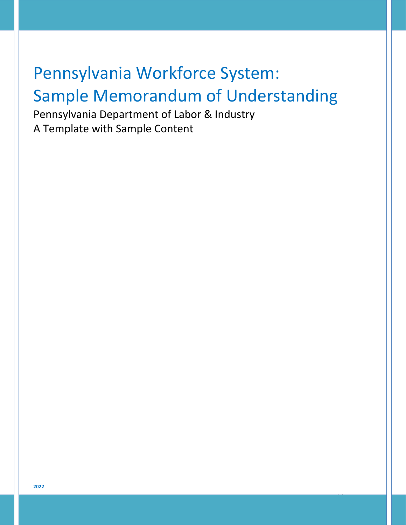# Pennsylvania Workforce System: Sample Memorandum of Understanding

14

Pennsylvania Department of Labor & Industry A Template with Sample Content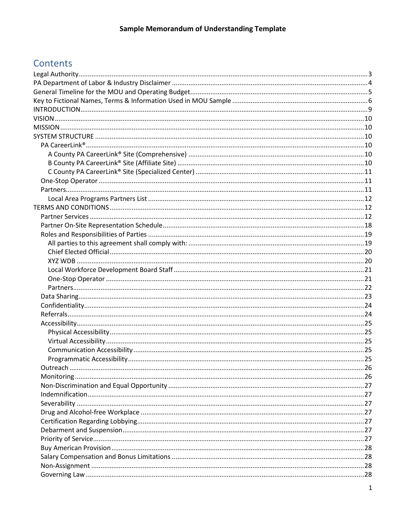# Contents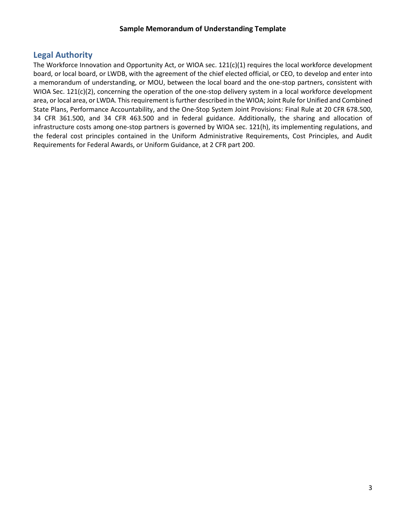# <span id="page-3-0"></span>**Legal Authority**

The Workforce Innovation and Opportunity Act, or WIOA sec. 121(c)(1) requires the local workforce development board, or local board, or LWDB, with the agreement of the chief elected official, or CEO, to develop and enter into a memorandum of understanding, or MOU, between the local board and the one-stop partners, consistent with WIOA Sec. 121(c)(2), concerning the operation of the one-stop delivery system in a local workforce development area, or local area, or LWDA. This requirement is further described in the WIOA; Joint Rule for Unified and Combined State Plans, Performance Accountability, and the One-Stop System Joint Provisions: Final Rule at 20 CFR 678.500, 34 CFR 361.500, and 34 CFR 463.500 and in federal guidance. Additionally, the sharing and allocation of infrastructure costs among one-stop partners is governed by WIOA sec. 121(h), its implementing regulations, and the federal cost principles contained in the Uniform Administrative Requirements, Cost Principles, and Audit Requirements for Federal Awards, or Uniform Guidance, at 2 CFR part 200.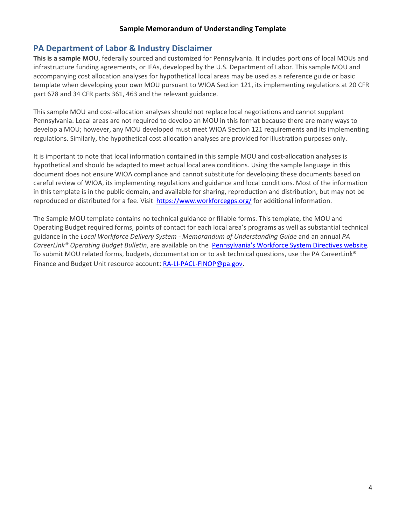# <span id="page-4-0"></span>**PA Department of Labor & Industry Disclaimer**

**This is a sample MOU**, federally sourced and customized for Pennsylvania. It includes portions of local MOUs and infrastructure funding agreements, or IFAs, developed by the U.S. Department of Labor. This sample MOU and accompanying cost allocation analyses for hypothetical local areas may be used as a reference guide or basic template when developing your own MOU pursuant to WIOA Section 121, its implementing regulations at 20 CFR part 678 and 34 CFR parts 361, 463 and the relevant guidance.

This sample MOU and cost-allocation analyses should not replace local negotiations and cannot supplant Pennsylvania. Local areas are not required to develop an MOU in this format because there are many ways to develop a MOU; however, any MOU developed must meet WIOA Section 121 requirements and its implementing regulations. Similarly, the hypothetical cost allocation analyses are provided for illustration purposes only.

It is important to note that local information contained in this sample MOU and cost-allocation analyses is hypothetical and should be adapted to meet actual local area conditions. Using the sample language in this document does not ensure WIOA compliance and cannot substitute for developing these documents based on careful review of WIOA, its implementing regulations and guidance and local conditions. Most of the information in this template is in the public domain, and available for sharing, reproduction and distribution, but may not be reproduced or distributed for a fee. Visit <https://www.workforcegps.org/> for additional information.

The Sample MOU template contains no technical guidance or fillable forms. This template, the MOU and Operating Budget required forms, points of contact for each local area's programs as well as substantial technical guidance in the *Local Workforce Delivery System - Memorandum of Understanding Guide* and an annual *PA CareerLink® Operating Budget Bulletin*, are available on the [Pennsylvania's Workforce System Directives website](https://www.dli.pa.gov/Businesses/Workforce-Development/Pages/Pennsylvania)*.* To submit MOU related forms, budgets, documentation or to ask technical questions, use the PA CareerLink<sup>®</sup> Finance and Budget Unit resource account: [RA-LI-PACL-FINOP@pa.gov.](mailto:RA-LI-PACL-FINOP@pa.gov)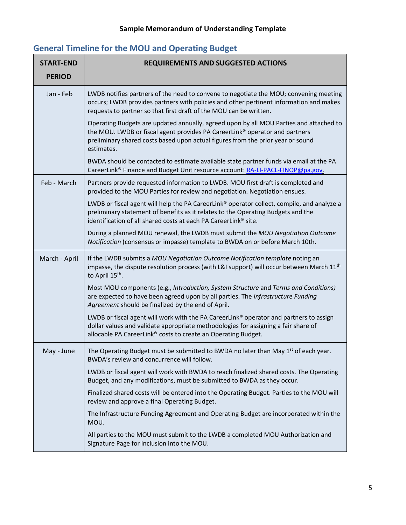# **START-END PERIOD REQUIREMENTS AND SUGGESTED ACTIONS** Jan - Feb  $\parallel$  LWDB notifies partners of the need to convene to negotiate the MOU; convening meeting occurs; LWDB provides partners with policies and other pertinent information and makes requests to partner so that first draft of the MOU can be written. Operating Budgets are updated annually, agreed upon by all MOU Parties and attached to the MOU. LWDB or fiscal agent provides PA CareerLink® operator and partners preliminary shared costs based upon actual figures from the prior year or sound estimates. BWDA should be contacted to estimate available state partner funds via email at the PA CareerLink® Finance and Budget Unit resource account: [RA-LI-PACL-FINOP@pa.gov.](mailto:RA-LI-PACL-FINOP@pa.gov) Feb - March | Partners provide requested information to LWDB. MOU first draft is completed and provided to the MOU Parties for review and negotiation. Negotiation ensues. LWDB or fiscal agent will help the PA CareerLink® operator collect, compile, and analyze a preliminary statement of benefits as it relates to the Operating Budgets and the identification of all shared costs at each PA CareerLink® site. During a planned MOU renewal, the LWDB must submit the *MOU Negotiation Outcome Notification* (consensus or impasse) template to BWDA on or before March 10th. March - April | If the LWDB submits a *MOU Negotiation Outcome Notification template* noting an impasse, the dispute resolution process (with L&I support) will occur between March  $11<sup>th</sup>$ to April 15<sup>th</sup>. Most MOU components (e.g., *Introduction, System Structure* and *Terms and Conditions)* are expected to have been agreed upon by all parties. The *Infrastructure Funding Agreement* should be finalized by the end of April. LWDB or fiscal agent will work with the PA CareerLink® operator and partners to assign dollar values and validate appropriate methodologies for assigning a fair share of allocable PA CareerLink® costs to create an Operating Budget. May - June  $\parallel$  The Operating Budget must be submitted to BWDA no later than May 1<sup>st</sup> of each year. BWDA's review and concurrence will follow. LWDB or fiscal agent will work with BWDA to reach finalized shared costs. The Operating Budget, and any modifications, must be submitted to BWDA as they occur. Finalized shared costs will be entered into the Operating Budget. Parties to the MOU will review and approve a final Operating Budget. The Infrastructure Funding Agreement and Operating Budget are incorporated within the MOU. All parties to the MOU must submit to the LWDB a completed MOU Authorization and Signature Page for inclusion into the MOU.

# <span id="page-5-0"></span>**General Timeline for the MOU and Operating Budget**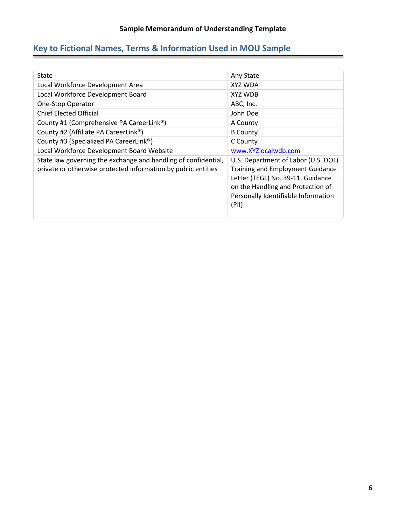# <span id="page-6-0"></span>**Key to Fictional Names, Terms & Information Used in MOU Sample**

| State                                                                                                                           | Any State                                                                                                                                                                                                |
|---------------------------------------------------------------------------------------------------------------------------------|----------------------------------------------------------------------------------------------------------------------------------------------------------------------------------------------------------|
| Local Workforce Development Area                                                                                                | XYZ WDA                                                                                                                                                                                                  |
| Local Workforce Development Board                                                                                               | XYZ WDB                                                                                                                                                                                                  |
| One-Stop Operator                                                                                                               | ABC, Inc.                                                                                                                                                                                                |
| <b>Chief Elected Official</b>                                                                                                   | John Doe                                                                                                                                                                                                 |
| County #1 (Comprehensive PA CareerLink <sup>®</sup> )                                                                           | A County                                                                                                                                                                                                 |
| County #2 (Affiliate PA CareerLink®)                                                                                            | <b>B</b> County                                                                                                                                                                                          |
| County #3 (Specialized PA CareerLink <sup>®</sup> )                                                                             | C County                                                                                                                                                                                                 |
| Local Workforce Development Board Website                                                                                       | www.XYZlocalwdb.com                                                                                                                                                                                      |
| State law governing the exchange and handling of confidential,<br>private or otherwise protected information by public entities | U.S. Department of Labor (U.S. DOL)<br><b>Training and Employment Guidance</b><br>Letter (TEGL) No. 39-11, Guidance<br>on the Handling and Protection of<br>Personally Identifiable Information<br>(PII) |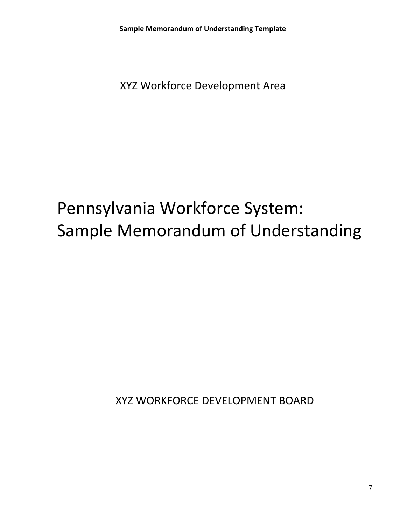XYZ Workforce Development Area

# Pennsylvania Workforce System: Sample Memorandum of Understanding

XYZ WORKFORCE DEVELOPMENT BOARD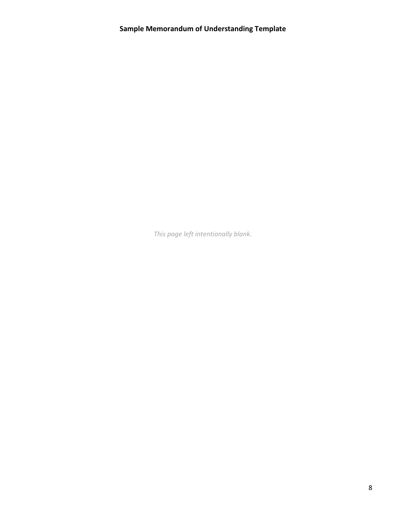*This page left intentionally blank.*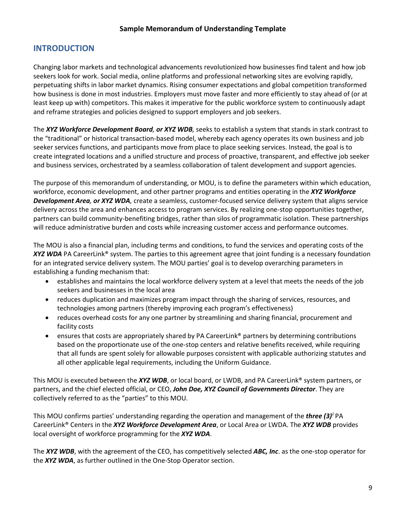# <span id="page-9-0"></span>**INTRODUCTION**

Changing labor markets and technological advancements revolutionized how businesses find talent and how job seekers look for work. Social media, online platforms and professional networking sites are evolving rapidly, perpetuating shifts in labor market dynamics. Rising consumer expectations and global competition transformed how business is done in most industries. Employers must move faster and more efficiently to stay ahead of (or at least keep up with) competitors. This makes it imperative for the public workforce system to continuously adapt and reframe strategies and policies designed to support employers and job seekers.

The *XYZ Workforce Development Board, or XYZ WDB,* seeks to establish a system that stands in stark contrast to the "traditional" or historical transaction-based model, whereby each agency operates its own business and job seeker services functions, and participants move from place to place seeking services. Instead, the goal is to create integrated locations and a unified structure and process of proactive, transparent, and effective job seeker and business services, orchestrated by a seamless collaboration of talent development and support agencies.

The purpose of this memorandum of understanding, or MOU, is to define the parameters within which education, workforce, economic development, and other partner programs and entities operating in the *XYZ Workforce Development Area, or XYZ WDA,* create a seamless, customer-focused service delivery system that aligns service delivery across the area and enhances access to program services. By realizing one-stop opportunities together, partners can build community-benefiting bridges, rather than silos of programmatic isolation. These partnerships will reduce administrative burden and costs while increasing customer access and performance outcomes.

The MOU is also a financial plan, including terms and conditions, to fund the services and operating costs of the *XYZ WDA* PA CareerLink® system. The parties to this agreement agree that joint funding is a necessary foundation for an integrated service delivery system. The MOU parties' goal is to develop overarching parameters in establishing a funding mechanism that:

- establishes and maintains the local workforce delivery system at a level that meets the needs of the job seekers and businesses in the local area
- reduces duplication and maximizes program impact through the sharing of services, resources, and technologies among partners (thereby improving each program's effectiveness)
- reduces overhead costs for any one partner by streamlining and sharing financial, procurement and facility costs
- ensures that costs are appropriately shared by PA CareerLink® partners by determining contributions based on the proportionate use of the one-stop centers and relative benefits received, while requiring that all funds are spent solely for allowable purposes consistent with applicable authorizing statutes and all other applicable legal requirements, including the Uniform Guidance.

This MOU is executed between the *XYZ WDB*, or local board, or LWDB, and PA CareerLink® system partners, or partners, and the chief elected official, or CEO, *John Doe, XYZ Council of Governments Director*. They are collectively referred to as the "parties" to this MOU.

This MOU confirms parties' understanding regarding the operation and management of the *three (3)[i](#page-42-1)* PA CareerLink® Centers in the *XYZ Workforce Development Area*, or Local Area or LWDA. The *XYZ WDB* provides local oversight of workforce programming for the *XYZ WDA*.

The *XYZ WDB*, with the agreement of the CEO, has competitively selected *ABC, Inc*. as the one-stop operator for the *XYZ WDA*, as further outlined in the One-Stop Operator section.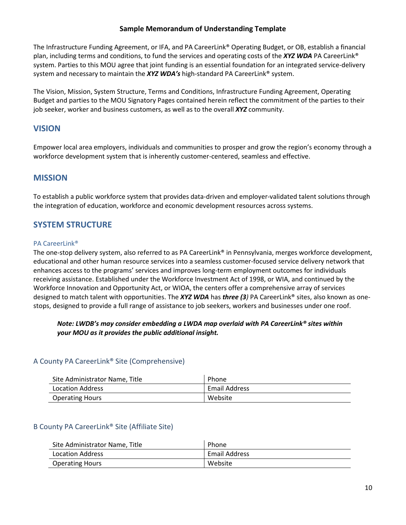The Infrastructure Funding Agreement, or IFA, and PA CareerLink® Operating Budget, or OB, establish a financial plan, including terms and conditions, to fund the services and operating costs of the *XYZ WDA* PA CareerLink® system. Parties to this MOU agree that joint funding is an essential foundation for an integrated service-delivery system and necessary to maintain the *XYZ WDA's* high-standard PA CareerLink® system.

The Vision, Mission, System Structure, Terms and Conditions, Infrastructure Funding Agreement, Operating Budget and parties to the MOU Signatory Pages contained herein reflect the commitment of the parties to their job seeker, worker and business customers, as well as to the overall *XYZ* community.

# <span id="page-10-0"></span>**VISION**

Empower local area employers, individuals and communities to prosper and grow the region's economy through a workforce development system that is inherently customer-centered, seamless and effective.

# <span id="page-10-1"></span>**MISSION**

To establish a public workforce system that provides data-driven and employer-validated talent solutions through the integration of education, workforce and economic development resources across systems.

# <span id="page-10-2"></span>**SYSTEM STRUCTURE**

#### <span id="page-10-3"></span>PA CareerLink®

The one-stop delivery system, also referred to as PA CareerLink® in Pennsylvania, merges workforce development, educational and other human resource services into a seamless customer-focused service delivery network that enhances access to the programs' services and improves long-term employment outcomes for individuals receiving assistance. Established under the Workforce Investment Act of 1998, or WIA, and continued by the Workforce Innovation and Opportunity Act, or WIOA, the centers offer a comprehensive array of services designed to match talent with opportunities. The *XYZ WDA* has *three (3)* PA CareerLink® sites, also known as onestops, designed to provide a full range of assistance to job seekers, workers and businesses under one roof.

# *Note: LWDB's may consider embedding a LWDA map overlaid with PA CareerLink® sites within your MOU as it provides the public additional insight.*

# <span id="page-10-4"></span>A County PA CareerLink® Site (Comprehensive)

| Site Administrator Name, Title | Phone                |
|--------------------------------|----------------------|
| Location Address               | <b>Email Address</b> |
| <b>Operating Hours</b>         | Website              |

# <span id="page-10-5"></span>B County PA CareerLink® Site (Affiliate Site)

| Site Administrator Name, Title | Phone         |
|--------------------------------|---------------|
| Location Address               | Email Address |
| <b>Operating Hours</b>         | Website       |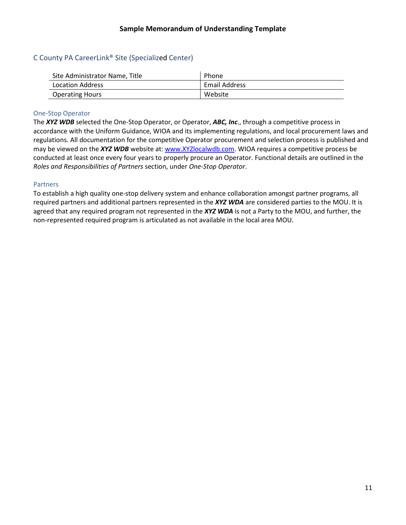# <span id="page-11-0"></span>C County PA CareerLink® Site (Specialized Center)

| Site Administrator Name, Title | Phone                |
|--------------------------------|----------------------|
| Location Address               | <b>Email Address</b> |
| <b>Operating Hours</b>         | Website              |

#### <span id="page-11-1"></span>One-Stop Operator

The *XYZ WDB* selected the One-Stop Operator, or Operator, *ABC, Inc*., through a competitive process in accordance with the Uniform Guidance, WIOA and its implementing regulations, and local procurement laws and regulations. All documentation for the competitive Operator procurement and selection process is published and may be viewed on the *XYZ WDB* website at: [www.XYZlocalwdb.](http://www.xyzlocalwdb/)com. WIOA requires a competitive process be conducted at least once every four years to properly procure an Operator. Functional details are outlined in the *Roles and Responsibilities of Partners* section, under *One-Stop Operator*.

#### <span id="page-11-2"></span>**Partners**

To establish a high quality one-stop delivery system and enhance collaboration amongst partner programs, all required partners and additional partners represented in the *XYZ WDA* are considered parties to the MOU. It is agreed that any required program not represented in the *XYZ WDA* is not a Party to the MOU, and further, the non-represented required program is articulated as not available in the local area MOU.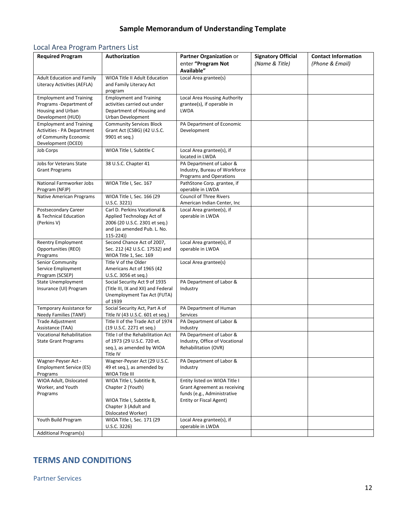# <span id="page-12-0"></span>Local Area Program Partners List

| <b>Required Program</b>                                          | Authorization                                                       | Partner Organization or<br>enter "Program Not   | <b>Signatory Official</b><br>(Name & Title) | <b>Contact Information</b><br>(Phone & Email) |
|------------------------------------------------------------------|---------------------------------------------------------------------|-------------------------------------------------|---------------------------------------------|-----------------------------------------------|
|                                                                  |                                                                     | Available"                                      |                                             |                                               |
| <b>Adult Education and Family</b><br>Literacy Activities (AEFLA) | WIOA Title II Adult Education<br>and Family Literacy Act<br>program | Local Area grantee(s)                           |                                             |                                               |
| <b>Employment and Training</b>                                   | <b>Employment and Training</b>                                      | Local Area Housing Authority                    |                                             |                                               |
| Programs -Department of                                          | activities carried out under                                        | grantee(s), if operable in                      |                                             |                                               |
| Housing and Urban                                                | Department of Housing and                                           | <b>LWDA</b>                                     |                                             |                                               |
| Development (HUD)                                                | Urban Development                                                   |                                                 |                                             |                                               |
| <b>Employment and Training</b>                                   | <b>Community Services Block</b>                                     | PA Department of Economic                       |                                             |                                               |
| <b>Activities - PA Department</b>                                | Grant Act (CSBG) (42 U.S.C.                                         | Development                                     |                                             |                                               |
| of Community Economic                                            | 9901 et seq.)                                                       |                                                 |                                             |                                               |
| Development (DCED)                                               |                                                                     |                                                 |                                             |                                               |
| Job Corps                                                        | WIOA Title I, Subtitle C                                            | Local Area grantee(s), if<br>located in LWDA    |                                             |                                               |
| Jobs for Veterans State                                          | 38 U.S.C. Chapter 41                                                | PA Department of Labor &                        |                                             |                                               |
| <b>Grant Programs</b>                                            |                                                                     | Industry, Bureau of Workforce                   |                                             |                                               |
|                                                                  |                                                                     | Programs and Operations                         |                                             |                                               |
| National Farmworker Jobs<br>Program (NFJP)                       | WIOA Title I, Sec. 167                                              | PathStone Corp. grantee, if<br>operable in LWDA |                                             |                                               |
| <b>Native American Programs</b>                                  | WIOA Title I, Sec. 166 (29                                          | <b>Council of Three Rivers</b>                  |                                             |                                               |
|                                                                  | U.S.C. 3221)                                                        | American Indian Center, Inc.                    |                                             |                                               |
| Postsecondary Career                                             | Carl D. Perkins Vocational &                                        | Local Area grantee(s), if                       |                                             |                                               |
| & Technical Education                                            | Applied Technology Act of                                           | operable in LWDA                                |                                             |                                               |
| (Perkins V)                                                      | 2006 (20 U.S.C. 2301 et seq.)                                       |                                                 |                                             |                                               |
|                                                                  | and (as amended Pub. L. No.                                         |                                                 |                                             |                                               |
|                                                                  | $115-224)$                                                          |                                                 |                                             |                                               |
| <b>Reentry Employment</b>                                        | Second Chance Act of 2007,                                          | Local Area grantee(s), if                       |                                             |                                               |
| Opportunities (REO)                                              | Sec. 212 (42 U.S.C. 17532) and                                      | operable in LWDA                                |                                             |                                               |
| Programs                                                         | WIOA Title 1, Sec. 169<br>Title V of the Older                      |                                                 |                                             |                                               |
| Senior Community<br>Service Employment                           | Americans Act of 1965 (42                                           | Local Area grantee(s)                           |                                             |                                               |
| Program (SCSEP)                                                  | U.S.C. 3056 et seq.)                                                |                                                 |                                             |                                               |
| <b>State Unemployment</b>                                        | Social Security Act 9 of 1935                                       | PA Department of Labor &                        |                                             |                                               |
| Insurance (UI) Program                                           | (Title III, IX and XII) and Federal                                 | Industry                                        |                                             |                                               |
|                                                                  | Unemployment Tax Act (FUTA)                                         |                                                 |                                             |                                               |
|                                                                  | of 1939                                                             |                                                 |                                             |                                               |
| Temporary Assistance for                                         | Social Security Act, Part A of                                      | PA Department of Human                          |                                             |                                               |
| <b>Needy Families (TANF)</b>                                     | Title IV (43 U.S.C. 601 et seq.)                                    | Services                                        |                                             |                                               |
| <b>Trade Adjustment</b>                                          | Title II of the Trade Act of 1974                                   | PA Department of Labor &                        |                                             |                                               |
| Assistance (TAA)                                                 | (19 U.S.C. 2271 et seq.)                                            | Industry                                        |                                             |                                               |
| <b>Vocational Rehabilitation</b>                                 | Title I of the Rehabilitation Act                                   | PA Department of Labor &                        |                                             |                                               |
| <b>State Grant Programs</b>                                      | of 1973 (29 U.S.C. 720 et.                                          | Industry, Office of Vocational                  |                                             |                                               |
|                                                                  | seq.), as amended by WIOA<br>Title IV                               | Rehabilitation (OVR)                            |                                             |                                               |
| Wagner-Peyser Act -                                              | Wagner-Peyser Act (29 U.S.C.                                        | PA Department of Labor &                        |                                             |                                               |
| <b>Employment Service (ES)</b>                                   | 49 et seq.), as amended by                                          | Industry                                        |                                             |                                               |
| Programs                                                         | WIOA Title III                                                      |                                                 |                                             |                                               |
| WIOA Adult, Dislocated                                           | WIOA Title I, Subtitle B,                                           | Entity listed on WIOA Title I                   |                                             |                                               |
| Worker, and Youth                                                | Chapter 2 (Youth)                                                   | Grant Agreement as receiving                    |                                             |                                               |
| Programs                                                         |                                                                     | funds (e.g., Administrative                     |                                             |                                               |
|                                                                  | WIOA Title I, Subtitle B,                                           | Entity or Fiscal Agent)                         |                                             |                                               |
|                                                                  | Chapter 3 (Adult and                                                |                                                 |                                             |                                               |
|                                                                  | Dislocated Worker)                                                  |                                                 |                                             |                                               |
| Youth Build Program                                              | WIOA Title I, Sec. 171 (29                                          | Local Area grantee(s), if<br>operable in LWDA   |                                             |                                               |
| Additional Program(s)                                            | U.S.C. 3226                                                         |                                                 |                                             |                                               |
|                                                                  |                                                                     |                                                 |                                             |                                               |

# <span id="page-12-1"></span>**TERMS AND CONDITIONS**

<span id="page-12-2"></span>Partner Services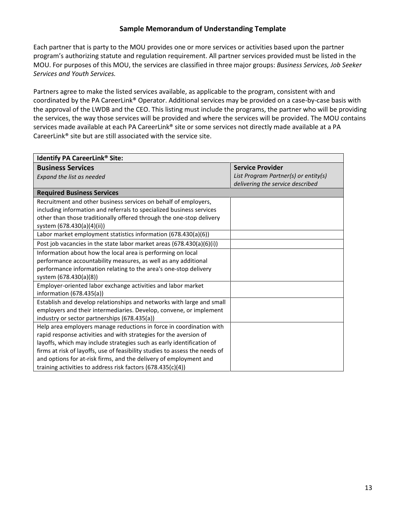Each partner that is party to the MOU provides one or more services or activities based upon the partner program's authorizing statute and regulation requirement. All partner services provided must be listed in the MOU. For purposes of this MOU, the services are classified in three major groups: *Business Services, Job Seeker Services and Youth Services.*

Partners agree to make the listed services available, as applicable to the program, consistent with and coordinated by the PA CareerLink® Operator. Additional services may be provided on a case-by-case basis with the approval of the LWDB and the CEO. This listing must include the programs, the partner who will be providing the services, the way those services will be provided and where the services will be provided. The MOU contains services made available at each PA CareerLink® site or some services not directly made available at a PA CareerLink® site but are still associated with the service site.

| <b>Identify PA CareerLink® Site:</b>                                        |                                      |
|-----------------------------------------------------------------------------|--------------------------------------|
| <b>Business Services</b>                                                    | <b>Service Provider</b>              |
| Expand the list as needed                                                   | List Program Partner(s) or entity(s) |
|                                                                             | delivering the service described     |
| <b>Required Business Services</b>                                           |                                      |
| Recruitment and other business services on behalf of employers,             |                                      |
| including information and referrals to specialized business services        |                                      |
| other than those traditionally offered through the one-stop delivery        |                                      |
| system (678.430(a)(4)(ii))                                                  |                                      |
| Labor market employment statistics information (678.430(a)(6))              |                                      |
| Post job vacancies in the state labor market areas (678.430(a)(6)(i))       |                                      |
| Information about how the local area is performing on local                 |                                      |
| performance accountability measures, as well as any additional              |                                      |
| performance information relating to the area's one-stop delivery            |                                      |
| system (678.430(a)(8))                                                      |                                      |
| Employer-oriented labor exchange activities and labor market                |                                      |
| information (678.435(a))                                                    |                                      |
| Establish and develop relationships and networks with large and small       |                                      |
| employers and their intermediaries. Develop, convene, or implement          |                                      |
| industry or sector partnerships (678.435(a))                                |                                      |
| Help area employers manage reductions in force in coordination with         |                                      |
| rapid response activities and with strategies for the aversion of           |                                      |
| layoffs, which may include strategies such as early identification of       |                                      |
| firms at risk of layoffs, use of feasibility studies to assess the needs of |                                      |
| and options for at-risk firms, and the delivery of employment and           |                                      |
| training activities to address risk factors (678.435(c)(4))                 |                                      |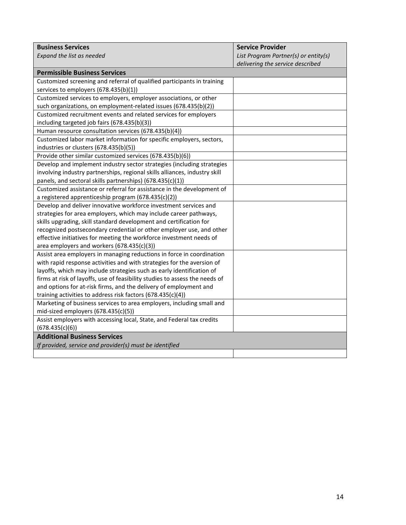| <b>Business Services</b>                                                    | <b>Service Provider</b>              |
|-----------------------------------------------------------------------------|--------------------------------------|
| Expand the list as needed                                                   | List Program Partner(s) or entity(s) |
|                                                                             | delivering the service described     |
| <b>Permissible Business Services</b>                                        |                                      |
| Customized screening and referral of qualified participants in training     |                                      |
| services to employers (678.435(b)(1))                                       |                                      |
| Customized services to employers, employer associations, or other           |                                      |
| such organizations, on employment-related issues (678.435(b)(2))            |                                      |
| Customized recruitment events and related services for employers            |                                      |
| including targeted job fairs (678.435(b)(3))                                |                                      |
| Human resource consultation services (678.435(b)(4))                        |                                      |
| Customized labor market information for specific employers, sectors,        |                                      |
| industries or clusters (678.435(b)(5))                                      |                                      |
| Provide other similar customized services (678.435(b)(6))                   |                                      |
| Develop and implement industry sector strategies (including strategies      |                                      |
| involving industry partnerships, regional skills alliances, industry skill  |                                      |
| panels, and sectoral skills partnerships) (678.435(c)(1))                   |                                      |
| Customized assistance or referral for assistance in the development of      |                                      |
| a registered apprenticeship program (678.435(c)(2))                         |                                      |
| Develop and deliver innovative workforce investment services and            |                                      |
| strategies for area employers, which may include career pathways,           |                                      |
| skills upgrading, skill standard development and certification for          |                                      |
| recognized postsecondary credential or other employer use, and other        |                                      |
| effective initiatives for meeting the workforce investment needs of         |                                      |
| area employers and workers (678.435(c)(3))                                  |                                      |
| Assist area employers in managing reductions in force in coordination       |                                      |
| with rapid response activities and with strategies for the aversion of      |                                      |
| layoffs, which may include strategies such as early identification of       |                                      |
| firms at risk of layoffs, use of feasibility studies to assess the needs of |                                      |
| and options for at-risk firms, and the delivery of employment and           |                                      |
| training activities to address risk factors (678.435(c)(4))                 |                                      |
| Marketing of business services to area employers, including small and       |                                      |
| mid-sized employers (678.435(c)(5))                                         |                                      |
| Assist employers with accessing local, State, and Federal tax credits       |                                      |
| (678.435(c)(6))                                                             |                                      |
| <b>Additional Business Services</b>                                         |                                      |
| If provided, service and provider(s) must be identified                     |                                      |
|                                                                             |                                      |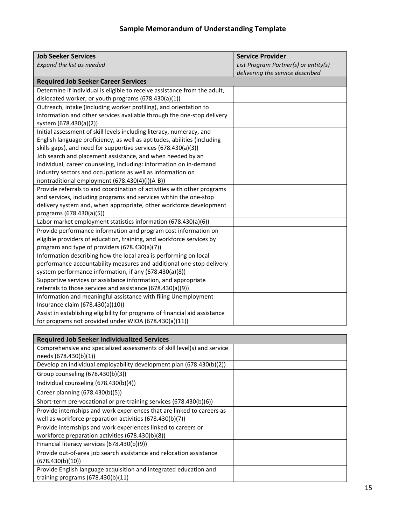| <b>Job Seeker Services</b>                                                  | <b>Service Provider</b>              |
|-----------------------------------------------------------------------------|--------------------------------------|
| Expand the list as needed                                                   | List Program Partner(s) or entity(s) |
|                                                                             | delivering the service described     |
| <b>Required Job Seeker Career Services</b>                                  |                                      |
| Determine if individual is eligible to receive assistance from the adult,   |                                      |
| dislocated worker, or youth programs (678.430(a)(1))                        |                                      |
| Outreach, intake (including worker profiling), and orientation to           |                                      |
| information and other services available through the one-stop delivery      |                                      |
| system (678.430(a)(2))                                                      |                                      |
| Initial assessment of skill levels including literacy, numeracy, and        |                                      |
| English language proficiency, as well as aptitudes, abilities (including    |                                      |
| skills gaps), and need for supportive services (678.430(a)(3))              |                                      |
| Job search and placement assistance, and when needed by an                  |                                      |
| individual, career counseling, including: information on in-demand          |                                      |
| industry sectors and occupations as well as information on                  |                                      |
| nontraditional employment (678.430(4)(i)(A-B))                              |                                      |
| Provide referrals to and coordination of activities with other programs     |                                      |
| and services, including programs and services within the one-stop           |                                      |
| delivery system and, when appropriate, other workforce development          |                                      |
| programs (678.430(a)(5))                                                    |                                      |
| Labor market employment statistics information (678.430(a)(6))              |                                      |
| Provide performance information and program cost information on             |                                      |
| eligible providers of education, training, and workforce services by        |                                      |
| program and type of providers (678.430(a)(7))                               |                                      |
| Information describing how the local area is performing on local            |                                      |
| performance accountability measures and additional one-stop delivery        |                                      |
| system performance information, if any (678.430(a)(8))                      |                                      |
| Supportive services or assistance information, and appropriate              |                                      |
| referrals to those services and assistance (678.430(a)(9))                  |                                      |
| Information and meaningful assistance with filing Unemployment              |                                      |
| Insurance claim (678.430(a)(10))                                            |                                      |
| Assist in establishing eligibility for programs of financial aid assistance |                                      |
| for programs not provided under WIOA (678.430(a)(11))                       |                                      |

| <b>Required Job Seeker Individualized Services</b>                      |  |
|-------------------------------------------------------------------------|--|
| Comprehensive and specialized assessments of skill level(s) and service |  |
| needs (678.430(b)(1))                                                   |  |
| Develop an individual employability development plan (678.430(b)(2))    |  |
| Group counseling (678.430(b)(3))                                        |  |
| Individual counseling $(678.430(b)(4))$                                 |  |
| Career planning (678.430(b)(5))                                         |  |
| Short-term pre-vocational or pre-training services (678.430(b)(6))      |  |
| Provide internships and work experiences that are linked to careers as  |  |
| well as workforce preparation activities (678.430(b)(7))                |  |
| Provide internships and work experiences linked to careers or           |  |
| workforce preparation activities (678.430(b)(8))                        |  |
| Financial literacy services (678.430(b)(9))                             |  |
| Provide out-of-area job search assistance and relocation assistance     |  |
| (678.430(b)(10))                                                        |  |
| Provide English language acquisition and integrated education and       |  |
| training programs $(678.430(b)(11)$                                     |  |
|                                                                         |  |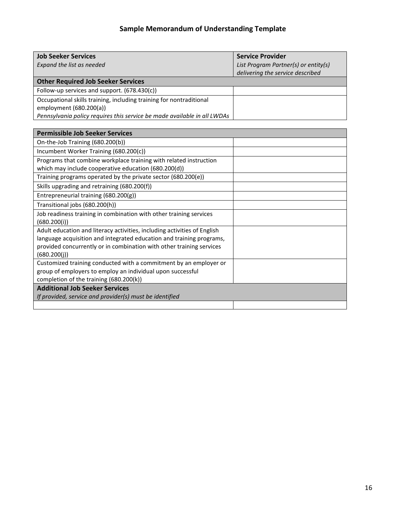| <b>Job Seeker Services</b>                                               | <b>Service Provider</b>              |
|--------------------------------------------------------------------------|--------------------------------------|
| Expand the list as needed                                                | List Program Partner(s) or entity(s) |
|                                                                          | delivering the service described     |
| <b>Other Required Job Seeker Services</b>                                |                                      |
| Follow-up services and support. (678.430(c))                             |                                      |
| Occupational skills training, including training for nontraditional      |                                      |
| employment (680.200(a))                                                  |                                      |
| Pennsylvania policy requires this service be made available in all LWDAs |                                      |
|                                                                          |                                      |

| <b>Permissible Job Seeker Services</b>                                   |  |
|--------------------------------------------------------------------------|--|
| On-the-Job Training (680.200(b))                                         |  |
| Incumbent Worker Training (680.200(c))                                   |  |
| Programs that combine workplace training with related instruction        |  |
| which may include cooperative education (680.200(d))                     |  |
| Training programs operated by the private sector (680.200(e))            |  |
| Skills upgrading and retraining (680.200(f))                             |  |
| Entrepreneurial training (680.200(g))                                    |  |
| Transitional jobs (680.200(h))                                           |  |
| Job readiness training in combination with other training services       |  |
| (680.200(i))                                                             |  |
| Adult education and literacy activities, including activities of English |  |
| language acquisition and integrated education and training programs,     |  |
| provided concurrently or in combination with other training services     |  |
| (680.200(i))                                                             |  |
| Customized training conducted with a commitment by an employer or        |  |
| group of employers to employ an individual upon successful               |  |
| completion of the training (680.200(k))                                  |  |
| <b>Additional Job Seeker Services</b>                                    |  |
| If provided, service and provider(s) must be identified                  |  |
|                                                                          |  |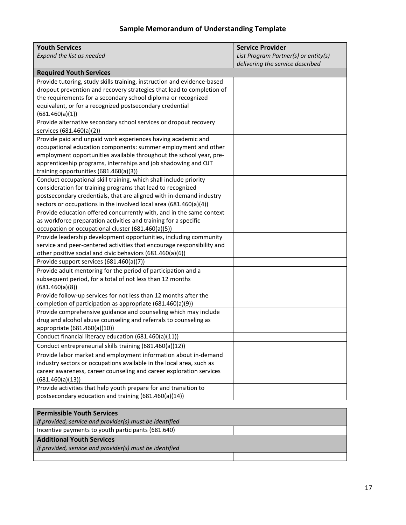| <b>Youth Services</b>                                                   | <b>Service Provider</b>              |
|-------------------------------------------------------------------------|--------------------------------------|
| Expand the list as needed                                               | List Program Partner(s) or entity(s) |
|                                                                         | delivering the service described     |
| <b>Required Youth Services</b>                                          |                                      |
| Provide tutoring, study skills training, instruction and evidence-based |                                      |
| dropout prevention and recovery strategies that lead to completion of   |                                      |
| the requirements for a secondary school diploma or recognized           |                                      |
| equivalent, or for a recognized postsecondary credential                |                                      |
| (681.460(a)(1))                                                         |                                      |
| Provide alternative secondary school services or dropout recovery       |                                      |
| services (681.460(a)(2))                                                |                                      |
| Provide paid and unpaid work experiences having academic and            |                                      |
| occupational education components: summer employment and other          |                                      |
| employment opportunities available throughout the school year, pre-     |                                      |
| apprenticeship programs, internships and job shadowing and OJT          |                                      |
| training opportunities (681.460(a)(3))                                  |                                      |
| Conduct occupational skill training, which shall include priority       |                                      |
| consideration for training programs that lead to recognized             |                                      |
| postsecondary credentials, that are aligned with in-demand industry     |                                      |
| sectors or occupations in the involved local area (681.460(a)(4))       |                                      |
| Provide education offered concurrently with, and in the same context    |                                      |
| as workforce preparation activities and training for a specific         |                                      |
| occupation or occupational cluster (681.460(a)(5))                      |                                      |
| Provide leadership development opportunities, including community       |                                      |
| service and peer-centered activities that encourage responsibility and  |                                      |
| other positive social and civic behaviors (681.460(a)(6))               |                                      |
| Provide support services (681.460(a)(7))                                |                                      |
| Provide adult mentoring for the period of participation and a           |                                      |
| subsequent period, for a total of not less than 12 months               |                                      |
| (681.460(a)(8))                                                         |                                      |
| Provide follow-up services for not less than 12 months after the        |                                      |
| completion of participation as appropriate (681.460(a)(9))              |                                      |
| Provide comprehensive guidance and counseling which may include         |                                      |
| drug and alcohol abuse counseling and referrals to counseling as        |                                      |
| appropriate (681.460(a)(10))                                            |                                      |
| Conduct financial literacy education (681.460(a)(11))                   |                                      |
| Conduct entrepreneurial skills training (681.460(a)(12))                |                                      |
| Provide labor market and employment information about in-demand         |                                      |
| industry sectors or occupations available in the local area, such as    |                                      |
| career awareness, career counseling and career exploration services     |                                      |
| (681.460(a)(13))                                                        |                                      |
| Provide activities that help youth prepare for and transition to        |                                      |
| postsecondary education and training (681.460(a)(14))                   |                                      |
|                                                                         |                                      |

| <b>Permissible Youth Services</b>                       |  |
|---------------------------------------------------------|--|
| If provided, service and provider(s) must be identified |  |
| Incentive payments to youth participants (681.640)      |  |
| <b>Additional Youth Services</b>                        |  |
| If provided, service and provider(s) must be identified |  |
|                                                         |  |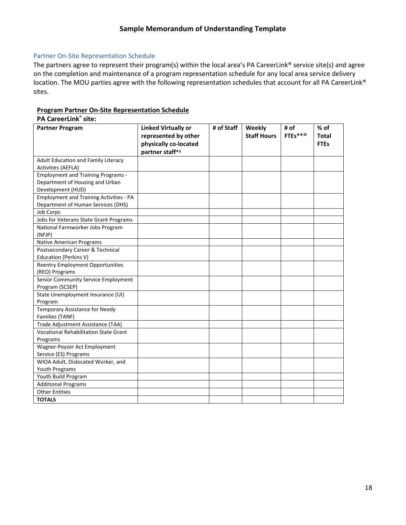#### <span id="page-18-0"></span>Partner On-Site Representation Schedule

The partners agree to represent their program(s) within the local area's PA CareerLink® service site(s) and agree on the completion and maintenance of a program representation schedule for any local area service delivery location. The MOU parties agree with the following representation schedules that account for all PA CareerLink® sites.

# **Program Partner On-Site Representation Schedule**

| <b>PA CareerLink® site:</b>                    |                                                                             |            |                              |                   |                                     |
|------------------------------------------------|-----------------------------------------------------------------------------|------------|------------------------------|-------------------|-------------------------------------|
| <b>Partner Program</b>                         | <b>Linked Virtually or</b><br>represented by other<br>physically co-located | # of Staff | Weekly<br><b>Staff Hours</b> | # of<br>FTEs**iii | % of<br><b>Total</b><br><b>FTEs</b> |
|                                                | partner staff*ii                                                            |            |                              |                   |                                     |
| Adult Education and Family Literacy            |                                                                             |            |                              |                   |                                     |
| <b>Activities (AEFLA)</b>                      |                                                                             |            |                              |                   |                                     |
| <b>Employment and Training Programs -</b>      |                                                                             |            |                              |                   |                                     |
| Department of Housing and Urban                |                                                                             |            |                              |                   |                                     |
| Development (HUD)                              |                                                                             |            |                              |                   |                                     |
| <b>Employment and Training Activities - PA</b> |                                                                             |            |                              |                   |                                     |
| Department of Human Services (DHS)             |                                                                             |            |                              |                   |                                     |
| <b>Job Corps</b>                               |                                                                             |            |                              |                   |                                     |
| Jobs for Veterans State Grant Programs         |                                                                             |            |                              |                   |                                     |
| National Farmworker Jobs Program               |                                                                             |            |                              |                   |                                     |
| (NFJP)                                         |                                                                             |            |                              |                   |                                     |
| Native American Programs                       |                                                                             |            |                              |                   |                                     |
| Postsecondary Career & Technical               |                                                                             |            |                              |                   |                                     |
| Education (Perkins V)                          |                                                                             |            |                              |                   |                                     |
| <b>Reentry Employment Opportunities</b>        |                                                                             |            |                              |                   |                                     |
| (REO) Programs                                 |                                                                             |            |                              |                   |                                     |
| Senior Community Service Employment            |                                                                             |            |                              |                   |                                     |
| Program (SCSEP)                                |                                                                             |            |                              |                   |                                     |
| State Unemployment Insurance (UI)              |                                                                             |            |                              |                   |                                     |
| Program                                        |                                                                             |            |                              |                   |                                     |
| Temporary Assistance for Needy                 |                                                                             |            |                              |                   |                                     |
| Families (TANF)                                |                                                                             |            |                              |                   |                                     |
| Trade Adjustment Assistance (TAA)              |                                                                             |            |                              |                   |                                     |
| <b>Vocational Rehabilitation State Grant</b>   |                                                                             |            |                              |                   |                                     |
| Programs                                       |                                                                             |            |                              |                   |                                     |
| Wagner-Peyser Act Employment                   |                                                                             |            |                              |                   |                                     |
| Service (ES) Programs                          |                                                                             |            |                              |                   |                                     |
| WIOA Adult, Dislocated Worker, and             |                                                                             |            |                              |                   |                                     |
| Youth Programs                                 |                                                                             |            |                              |                   |                                     |
| Youth Build Program                            |                                                                             |            |                              |                   |                                     |
| <b>Additional Programs</b>                     |                                                                             |            |                              |                   |                                     |
| <b>Other Entities</b>                          |                                                                             |            |                              |                   |                                     |
| <b>TOTALS</b>                                  |                                                                             |            |                              |                   |                                     |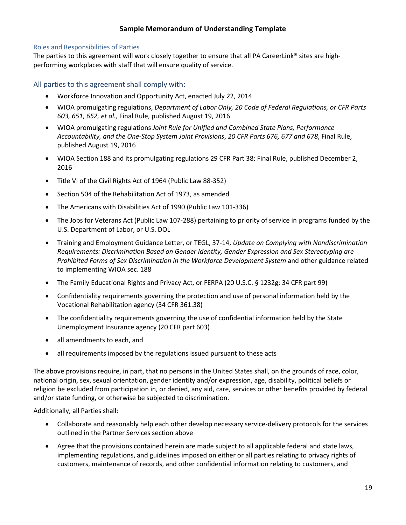#### <span id="page-19-0"></span>Roles and Responsibilities of Parties

The parties to this agreement will work closely together to ensure that all PA CareerLink® sites are highperforming workplaces with staff that will ensure quality of service.

<span id="page-19-1"></span>All parties to this agreement shall comply with:

- Workforce Innovation and Opportunity Act, enacted July 22, 2014
- WIOA promulgating regulations, *Department of Labor Only, 20 [Code of Federal Regulations, or CFR Parts](https://www.doleta.gov/wioa/Docs/wioa-regs-labor-final-rule.pdf)  603, 651, 652, et al.,* [Final Rule, published August 19, 2016](https://www.doleta.gov/wioa/Docs/wioa-regs-labor-final-rule.pdf)
- WIOA promulgating regulations *Joint Rule for Unified and Combined State Plans, Performance Accountability, and the One-Stop System Joint Provisions*, *20 CFR [Parts 676, 677 and 678](https://www.doleta.gov/wioa/Docs/wioa-regs-labor-final-rule.pdf)*, Final Rule, [published August 19, 2016](https://www.doleta.gov/wioa/Docs/wioa-regs-labor-final-rule.pdf)
- WIOA Section 188 and its promulgating regulations 29 CFR Part 38; Final Rule, published December 2, 2016
- Title VI of the Civil Rights Act of 1964 (Public Law 88-352)
- Section 504 of the Rehabilitation Act of 1973, as amended
- The Americans with Disabilities Act of 1990 (Public Law 101-336)
- The Jobs for Veterans Act (Public Law 107-288) pertaining to priority of service in programs funded by the U.S. Department of Labor, or U.S. DOL
- Training and Employment Guidance Letter, or TEGL, 37-14, *Update on Complying with Nondiscrimination Requirements: Discrimination Based on Gender Identity, Gender Expression and Sex Stereotyping are Prohibited Forms of Sex Discrimination in the Workforce Development System* and other guidance related to implementing WIOA sec. 188
- The Family Educational Rights and Privacy Act, or FERPA (20 U.S.C. § 1232g; 34 CFR part 99)
- Confidentiality requirements governing the protection and use of personal information held by the Vocational Rehabilitation agency (34 CFR 361.38)
- The confidentiality requirements governing the use of confidential information held by the State Unemployment Insurance agency (20 CFR part 603)
- all amendments to each, and
- all requirements imposed by the regulations issued pursuant to these acts

The above provisions require, in part, that no persons in the United States shall, on the grounds of race, color, national origin, sex, sexual orientation, gender identity and/or expression, age, disability, political beliefs or religion be excluded from participation in, or denied, any aid, care, services or other benefits provided by federal and/or state funding, or otherwise be subjected to discrimination.

Additionally, all Parties shall:

- Collaborate and reasonably help each other develop necessary service-delivery protocols for the services outlined in the Partner Services section above
- Agree that the provisions contained herein are made subject to all applicable federal and state laws, implementing regulations, and guidelines imposed on either or all parties relating to privacy rights of customers, maintenance of records, and other confidential information relating to customers, and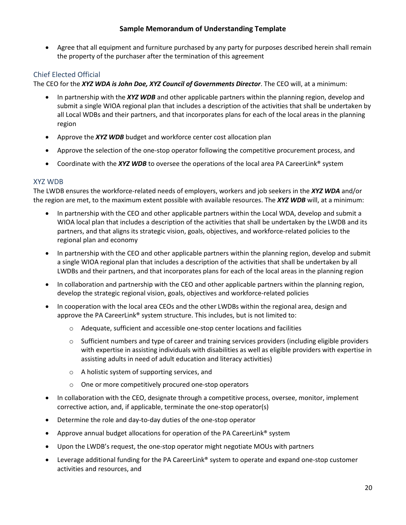• Agree that all equipment and furniture purchased by any party for purposes described herein shall remain the property of the purchaser after the termination of this agreement

# <span id="page-20-0"></span>Chief Elected Official

The CEO for the *XYZ WDA is John Doe, XYZ Council of Governments Director*. The CEO will, at a minimum:

- In partnership with the *XYZ WDB* and other applicable partners within the planning region, develop and submit a single WIOA regional plan that includes a description of the activities that shall be undertaken by all Local WDBs and their partners, and that incorporates plans for each of the local areas in the planning region
- Approve the *XYZ WDB* budget and workforce center cost allocation plan
- Approve the selection of the one-stop operator following the competitive procurement process, and
- Coordinate with the *XYZ WDB* to oversee the operations of the local area PA CareerLink<sup>®</sup> system

# <span id="page-20-1"></span>XYZ WDB

The LWDB ensures the workforce-related needs of employers, workers and job seekers in the *XYZ WDA* and/or the region are met, to the maximum extent possible with available resources. The *XYZ WDB* will, at a minimum:

- In partnership with the CEO and other applicable partners within the Local WDA, develop and submit a WIOA local plan that includes a description of the activities that shall be undertaken by the LWDB and its partners, and that aligns its strategic vision, goals, objectives, and workforce-related policies to the regional plan and economy
- In partnership with the CEO and other applicable partners within the planning region, develop and submit a single WIOA regional plan that includes a description of the activities that shall be undertaken by all LWDBs and their partners, and that incorporates plans for each of the local areas in the planning region
- In collaboration and partnership with the CEO and other applicable partners within the planning region, develop the strategic regional vision, goals, objectives and workforce-related policies
- In cooperation with the local area CEOs and the other LWDBs within the regional area, design and approve the PA CareerLink® system structure. This includes, but is not limited to:
	- o Adequate, sufficient and accessible one-stop center locations and facilities
	- $\circ$  Sufficient numbers and type of career and training services providers (including eligible providers with expertise in assisting individuals with disabilities as well as eligible providers with expertise in assisting adults in need of adult education and literacy activities)
	- o A holistic system of supporting services, and
	- o One or more competitively procured one-stop operators
- In collaboration with the CEO, designate through a competitive process, oversee, monitor, implement corrective action, and, if applicable, terminate the one-stop operator(s)
- Determine the role and day-to-day duties of the one-stop operator
- Approve annual budget allocations for operation of the PA CareerLink® system
- Upon the LWDB's request, the one-stop operator might negotiate MOUs with partners
- Leverage additional funding for the PA CareerLink® system to operate and expand one-stop customer activities and resources, and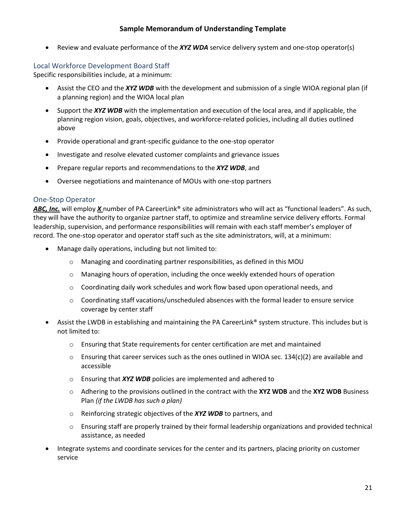• Review and evaluate performance of the *XYZ WDA* service delivery system and one-stop operator(s)

# <span id="page-21-0"></span>Local Workforce Development Board Staff

Specific responsibilities include, at a minimum:

- Assist the CEO and the *XYZ WDB* with the development and submission of a single WIOA regional plan (if a planning region) and the WIOA local plan
- Support the *XYZ WDB* with the implementation and execution of the local area, and if applicable, the planning region vision, goals, objectives, and workforce-related policies, including all duties outlined above
- Provide operational and grant-specific guidance to the one-stop operator
- Investigate and resolve elevated customer complaints and grievance issues
- Prepare regular reports and recommendations to the *XYZ WDB*, and
- Oversee negotiations and maintenance of MOUs with one-stop partners

#### <span id="page-21-1"></span>One-Stop Operator

*ABC, Inc.* will employ *X* number of PA CareerLink® site administrators who will act as "functional leaders". As such, they will have the authority to organize partner staff, to optimize and streamline service delivery efforts. Formal leadership, supervision, and performance responsibilities will remain with each staff member's employer of record. The one-stop operator and operator staff such as the site administrators, will, at a minimum:

- Manage daily operations, including but not limited to:
	- o Managing and coordinating partner responsibilities, as defined in this MOU
	- $\circ$  Managing hours of operation, including the once weekly extended hours of operation
	- $\circ$  Coordinating daily work schedules and work flow based upon operational needs, and
	- $\circ$  Coordinating staff vacations/unscheduled absences with the formal leader to ensure service coverage by center staff
- Assist the LWDB in establishing and maintaining the PA CareerLink® system structure. This includes but is not limited to:
	- $\circ$  Ensuring that State requirements for center certification are met and maintained
	- $\circ$  Ensuring that career services such as the ones outlined in WIOA sec. 134(c)(2) are available and accessible
	- o Ensuring that *XYZ WDB* policies are implemented and adhered to
	- o Adhering to the provisions outlined in the contract with the **XYZ WDB** and the **XYZ WDB** Business Plan *(if the LWDB has such a plan)*
	- o Reinforcing strategic objectives of the *XYZ WDB* to partners, and
	- $\circ$  Ensuring staff are properly trained by their formal leadership organizations and provided technical assistance, as needed
- Integrate systems and coordinate services for the center and its partners, placing priority on customer service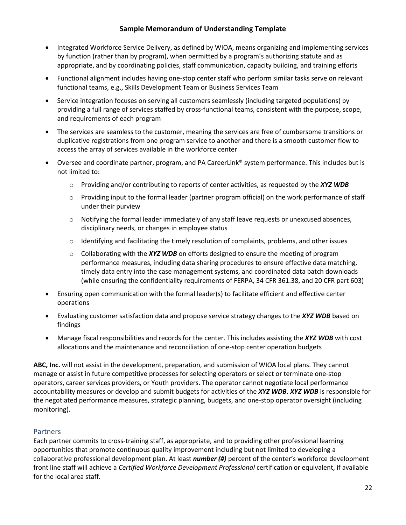- Integrated Workforce Service Delivery, as defined by WIOA, means organizing and implementing services by function (rather than by program), when permitted by a program's authorizing statute and as appropriate, and by coordinating policies, staff communication, capacity building, and training efforts
- Functional alignment includes having one-stop center staff who perform similar tasks serve on relevant functional teams, e.g., Skills Development Team or Business Services Team
- Service integration focuses on serving all customers seamlessly (including targeted populations) by providing a full range of services staffed by cross-functional teams, consistent with the purpose, scope, and requirements of each program
- The services are seamless to the customer, meaning the services are free of cumbersome transitions or duplicative registrations from one program service to another and there is a smooth customer flow to access the array of services available in the workforce center
- Oversee and coordinate partner, program, and PA CareerLink® system performance. This includes but is not limited to:
	- o Providing and/or contributing to reports of center activities, as requested by the *XYZ WDB*
	- $\circ$  Providing input to the formal leader (partner program official) on the work performance of staff under their purview
	- $\circ$  Notifying the formal leader immediately of any staff leave requests or unexcused absences, disciplinary needs, or changes in employee status
	- $\circ$  Identifying and facilitating the timely resolution of complaints, problems, and other issues
	- o Collaborating with the *XYZ WDB* on efforts designed to ensure the meeting of program performance measures, including data sharing procedures to ensure effective data matching, timely data entry into the case management systems, and coordinated data batch downloads (while ensuring the confidentiality requirements of FERPA, 34 CFR 361.38, and 20 CFR part 603)
- Ensuring open communication with the formal leader(s) to facilitate efficient and effective center operations
- Evaluating customer satisfaction data and propose service strategy changes to the *XYZ WDB* based on findings
- Manage fiscal responsibilities and records for the center. This includes assisting the *XYZ WDB* with cost allocations and the maintenance and reconciliation of one-stop center operation budgets

**ABC, Inc.** will not assist in the development, preparation, and submission of WIOA local plans. They cannot manage or assist in future competitive processes for selecting operators or select or terminate one-stop operators, career services providers, or Youth providers. The operator cannot negotiate local performance accountability measures or develop and submit budgets for activities of the *XYZ WDB*. *XYZ WDB* is responsible for the negotiated performance measures, strategic planning, budgets, and one-stop operator oversight (including monitoring).

# <span id="page-22-0"></span>**Partners**

Each partner commits to cross-training staff, as appropriate, and to providing other professional learning opportunities that promote continuous quality improvement including but not limited to developing a collaborative professional development plan. At least *number (#)* percent of the center's workforce development front line staff will achieve a *Certified Workforce Development Professional* certification or equivalent, if available for the local area staff.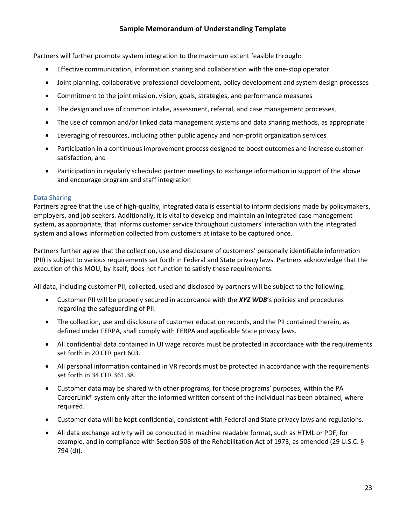Partners will further promote system integration to the maximum extent feasible through:

- Effective communication, information sharing and collaboration with the one-stop operator
- Joint planning, collaborative professional development, policy development and system design processes
- Commitment to the joint mission, vision, goals, strategies, and performance measures
- The design and use of common intake, assessment, referral, and case management processes,
- The use of common and/or linked data management systems and data sharing methods, as appropriate
- Leveraging of resources, including other public agency and non-profit organization services
- Participation in a continuous improvement process designed to boost outcomes and increase customer satisfaction, and
- Participation in regularly scheduled partner meetings to exchange information in support of the above and encourage program and staff integration

#### <span id="page-23-0"></span>Data Sharing

Partners agree that the use of high-quality, integrated data is essential to inform decisions made by policymakers, employers, and job seekers. Additionally, it is vital to develop and maintain an integrated case management system, as appropriate, that informs customer service throughout customers' interaction with the integrated system and allows information collected from customers at intake to be captured once.

Partners further agree that the collection, use and disclosure of customers' personally identifiable information (PII) is subject to various requirements set forth in Federal and State privacy laws. Partners acknowledge that the execution of this MOU, by itself, does not function to satisfy these requirements.

All data, including customer PII, collected, used and disclosed by partners will be subject to the following:

- Customer PII will be properly secured in accordance with the *XYZ WDB*'s policies and procedures regarding the safeguarding of PII.
- The collection, use and disclosure of customer education records, and the PII contained therein, as defined under FERPA, shall comply with FERPA and applicable State privacy laws.
- All confidential data contained in UI wage records must be protected in accordance with the requirements set forth in 20 CFR part 603.
- All personal information contained in VR records must be protected in accordance with the requirements set forth in 34 CFR 361.38.
- Customer data may be shared with other programs, for those programs' purposes, within the PA CareerLink® system only after the informed written consent of the individual has been obtained, where required.
- Customer data will be kept confidential, consistent with Federal and State privacy laws and regulations.
- All data exchange activity will be conducted in machine readable format, such as HTML or PDF, for example, and in compliance with Section 508 of the Rehabilitation Act of 1973, as amended (29 U.S.C. § 794 (d)).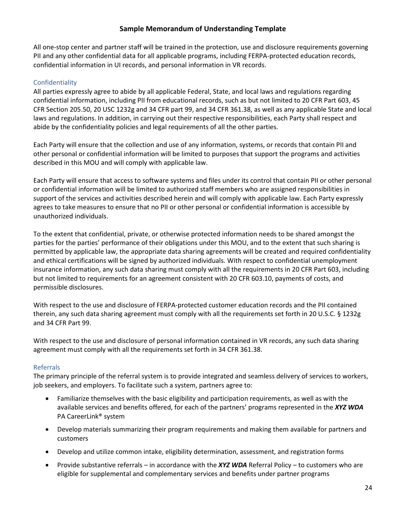All one-stop center and partner staff will be trained in the protection, use and disclosure requirements governing PII and any other confidential data for all applicable programs, including FERPA-protected education records, confidential information in UI records, and personal information in VR records.

# <span id="page-24-0"></span>Confidentiality

All parties expressly agree to abide by all applicable Federal, State, and local laws and regulations regarding confidential information, including PII from educational records, such as but not limited to 20 CFR Part 603, 45 CFR Section 205.50, 20 USC 1232g and 34 CFR part 99, and 34 CFR 361.38, as well as any applicable State and local laws and regulations. In addition, in carrying out their respective responsibilities, each Party shall respect and abide by the confidentiality policies and legal requirements of all the other parties.

Each Party will ensure that the collection and use of any information, systems, or records that contain PII and other personal or confidential information will be limited to purposes that support the programs and activities described in this MOU and will comply with applicable law.

Each Party will ensure that access to software systems and files under its control that contain PII or other personal or confidential information will be limited to authorized staff members who are assigned responsibilities in support of the services and activities described herein and will comply with applicable law. Each Party expressly agrees to take measures to ensure that no PII or other personal or confidential information is accessible by unauthorized individuals.

To the extent that confidential, private, or otherwise protected information needs to be shared amongst the parties for the parties' performance of their obligations under this MOU, and to the extent that such sharing is permitted by applicable law, the appropriate data sharing agreements will be created and required confidentiality and ethical certifications will be signed by authorized individuals. With respect to confidential unemployment insurance information, any such data sharing must comply with all the requirements in 20 CFR Part 603, including but not limited to requirements for an agreement consistent with 20 CFR 603.10, payments of costs, and permissible disclosures.

With respect to the use and disclosure of FERPA-protected customer education records and the PII contained therein, any such data sharing agreement must comply with all the requirements set forth in 20 U.S.C. § 1232g and 34 CFR Part 99.

With respect to the use and disclosure of personal information contained in VR records, any such data sharing agreement must comply with all the requirements set forth in 34 CFR 361.38.

# <span id="page-24-1"></span>Referrals

The primary principle of the referral system is to provide integrated and seamless delivery of services to workers, job seekers, and employers. To facilitate such a system, partners agree to:

- Familiarize themselves with the basic eligibility and participation requirements, as well as with the available services and benefits offered, for each of the partners' programs represented in the *XYZ WDA* PA CareerLink® system
- Develop materials summarizing their program requirements and making them available for partners and customers
- Develop and utilize common intake, eligibility determination, assessment, and registration forms
- Provide substantive referrals in accordance with the *XYZ WDA* Referral Policy to customers who are eligible for supplemental and complementary services and benefits under partner programs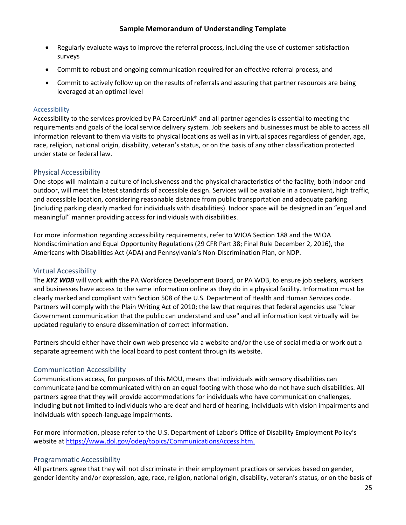- Regularly evaluate ways to improve the referral process, including the use of customer satisfaction surveys
- Commit to robust and ongoing communication required for an effective referral process, and
- Commit to actively follow up on the results of referrals and assuring that partner resources are being leveraged at an optimal level

## <span id="page-25-0"></span>Accessibility

Accessibility to the services provided by PA CareerLink® and all partner agencies is essential to meeting the requirements and goals of the local service delivery system. Job seekers and businesses must be able to access all information relevant to them via visits to physical locations as well as in virtual spaces regardless of gender, age, race, religion, national origin, disability, veteran's status, or on the basis of any other classification protected under state or federal law.

# <span id="page-25-1"></span>Physical Accessibility

One-stops will maintain a culture of inclusiveness and the physical characteristics of the facility, both indoor and outdoor, will meet the latest standards of accessible design. Services will be available in a convenient, high traffic, and accessible location, considering reasonable distance from public transportation and adequate parking (including parking clearly marked for individuals with disabilities). Indoor space will be designed in an "equal and meaningful" manner providing access for individuals with disabilities.

For more information regarding accessibility requirements, refer to WIOA Section 188 and the WIOA Nondiscrimination and Equal Opportunity Regulations (29 CFR Part 38; Final Rule December 2, 2016), the Americans with Disabilities Act (ADA) and Pennsylvania's Non-Discrimination Plan, or NDP.

# <span id="page-25-2"></span>Virtual Accessibility

The *XYZ WDB* will work with the PA Workforce Development Board, or PA WDB, to ensure job seekers, workers and businesses have access to the same information online as they do in a physical facility. Information must be clearly marked and compliant with Section 508 of the U.S. Department of Health and Human Services code. Partners will comply with the Plain Writing Act of 2010; the law that requires that federal agencies use "clear Government communication that the public can understand and use" and all information kept virtually will be updated regularly to ensure dissemination of correct information.

Partners should either have their own web presence via a website and/or the use of social media or work out a separate agreement with the local board to post content through its website.

# <span id="page-25-3"></span>Communication Accessibility

Communications access, for purposes of this MOU, means that individuals with sensory disabilities can communicate (and be communicated with) on an equal footing with those who do not have such disabilities. All partners agree that they will provide accommodations for individuals who have communication challenges, including but not limited to individuals who are deaf and hard of hearing, individuals with vision impairments and individuals with speech-language impairments.

For more information, please refer to the U.S. Department of Labor's Office of Disability Employment Policy's website a[t https://www.dol.gov/odep/topics/CommunicationsAccess.htm.](https://www.dol.gov/odep/topics/CommunicationsAccess.htm)

# <span id="page-25-4"></span>Programmatic Accessibility

All partners agree that they will not discriminate in their employment practices or services based on gender, gender identity and/or expression, age, race, religion, national origin, disability, veteran's status, or on the basis of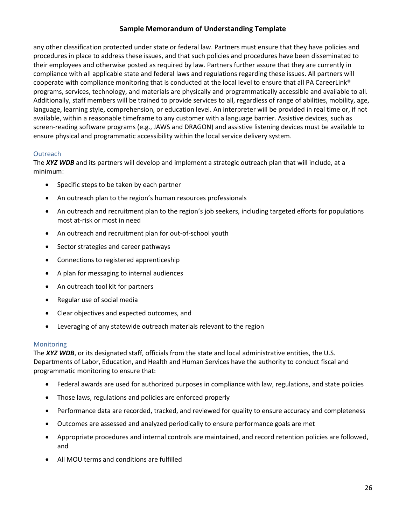any other classification protected under state or federal law. Partners must ensure that they have policies and procedures in place to address these issues, and that such policies and procedures have been disseminated to their employees and otherwise posted as required by law. Partners further assure that they are currently in compliance with all applicable state and federal laws and regulations regarding these issues. All partners will cooperate with compliance monitoring that is conducted at the local level to ensure that all PA CareerLink® programs, services, technology, and materials are physically and programmatically accessible and available to all. Additionally, staff members will be trained to provide services to all, regardless of range of abilities, mobility, age, language, learning style, comprehension, or education level. An interpreter will be provided in real time or, if not available, within a reasonable timeframe to any customer with a language barrier. Assistive devices, such as screen-reading software programs (e.g., JAWS and DRAGON) and assistive listening devices must be available to ensure physical and programmatic accessibility within the local service delivery system.

#### <span id="page-26-0"></span>**Outreach**

The *XYZ WDB* and its partners will develop and implement a strategic outreach plan that will include, at a minimum:

- Specific steps to be taken by each partner
- An outreach plan to the region's human resources professionals
- An outreach and recruitment plan to the region's job seekers, including targeted efforts for populations most at-risk or most in need
- An outreach and recruitment plan for out-of-school youth
- Sector strategies and career pathways
- Connections to registered apprenticeship
- A plan for messaging to internal audiences
- An outreach tool kit for partners
- Regular use of social media
- Clear objectives and expected outcomes, and
- Leveraging of any statewide outreach materials relevant to the region

#### <span id="page-26-1"></span>Monitoring

The *XYZ WDB*, or its designated staff, officials from the state and local administrative entities, the U.S. Departments of Labor, Education, and Health and Human Services have the authority to conduct fiscal and programmatic monitoring to ensure that:

- Federal awards are used for authorized purposes in compliance with law, regulations, and state policies
- Those laws, regulations and policies are enforced properly
- Performance data are recorded, tracked, and reviewed for quality to ensure accuracy and completeness
- Outcomes are assessed and analyzed periodically to ensure performance goals are met
- Appropriate procedures and internal controls are maintained, and record retention policies are followed, and
- All MOU terms and conditions are fulfilled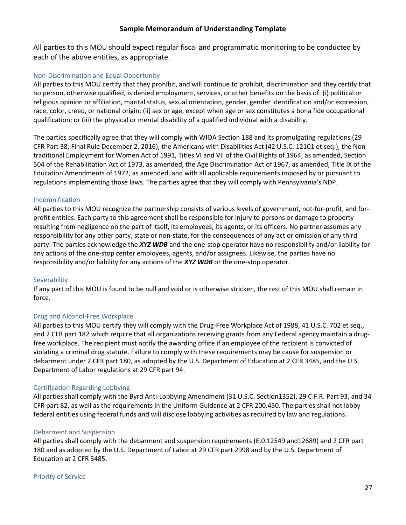All parties to this MOU should expect regular fiscal and programmatic monitoring to be conducted by each of the above entities, as appropriate.

#### <span id="page-27-0"></span>Non-Discrimination and Equal Opportunity

All parties to this MOU certify that they prohibit, and will continue to prohibit, discrimination and they certify that no person, otherwise qualified, is denied employment, services, or other benefits on the basis of: (i) political or religious opinion or affiliation, marital status, sexual orientation, gender, gender identification and/or expression, race, color, creed, or national origin; (ii) sex or age, except when age or sex constitutes a bona fide occupational qualification; or (iii) the physical or mental disability of a qualified individual with a disability.

The parties specifically agree that they will comply with WIOA Section 188 and its promulgating regulations (29 CFR Part 38; Final Rule December 2, 2016), the Americans with Disabilities Act (42 U.S.C. 12101 et seq.), the Nontraditional Employment for Women Act of 1991, Titles VI and VII of the Civil Rights of 1964, as amended, Section 504 of the Rehabilitation Act of 1973, as amended, the Age Discrimination Act of 1967, as amended, Title IX of the Education Amendments of 1972, as amended, and with all applicable requirements imposed by or pursuant to regulations implementing those laws. The parties agree that they will comply with Pennsylvania's NDP.

#### <span id="page-27-1"></span>Indemnification

All parties to this MOU recognize the partnership consists of various levels of government, not-for-profit, and forprofit entities. Each party to this agreement shall be responsible for injury to persons or damage to property resulting from negligence on the part of itself, its employees, its agents, or its officers. No partner assumes any responsibility for any other party, state or non-state, for the consequences of any act or omission of any third party. The parties acknowledge the *XYZ WDB* and the one-stop operator have no responsibility and/or liability for any actions of the one-stop center employees, agents, and/or assignees. Likewise, the parties have no responsibility and/or liability for any actions of the *XYZ WDB* or the one-stop operator.

#### <span id="page-27-2"></span>**Severability**

If any part of this MOU is found to be null and void or is otherwise stricken, the rest of this MOU shall remain in force.

#### <span id="page-27-3"></span>Drug and Alcohol-Free Workplace

All parties to this MOU certify they will comply with the Drug-Free Workplace Act of 1988, 41 U.S.C. 702 et seq., and 2 CFR part 182 which require that all organizations receiving grants from any Federal agency maintain a drugfree workplace. The recipient must notify the awarding office if an employee of the recipient is convicted of violating a criminal drug statute. Failure to comply with these requirements may be cause for suspension or debarment under 2 CFR part 180, as adopted by the U.S. Department of Education at 2 CFR 3485, and the U.S. Department of Labor regulations at 29 CFR part 94.

#### <span id="page-27-4"></span>Certification Regarding Lobbying

All parties shall comply with the Byrd Anti-Lobbying Amendment (31 U.S.C. Section1352), 29 C.F.R. Part 93, and 34 CFR part 82, as well as the requirements in the Uniform Guidance at 2 CFR 200.450. The parties shall not lobby federal entities using federal funds and will disclose lobbying activities as required by law and regulations.

#### <span id="page-27-5"></span>Debarment and Suspension

All parties shall comply with the debarment and suspension requirements (E.0.12549 and12689) and 2 CFR part 180 and as adopted by the U.S. Department of Labor at 29 CFR part 2998 and by the U.S. Department of Education at 2 CFR 3485.

#### <span id="page-27-6"></span>Priority of Service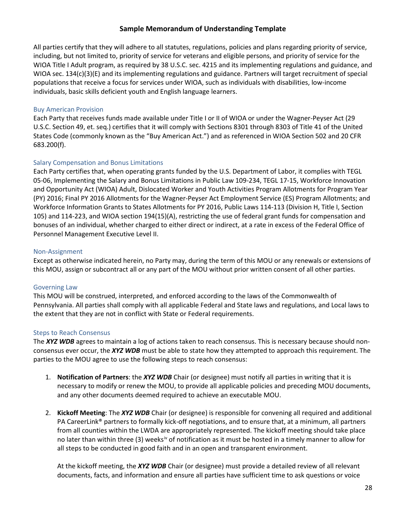All parties certify that they will adhere to all statutes, regulations, policies and plans regarding priority of service, including, but not limited to, priority of service for veterans and eligible persons, and priority of service for the WIOA Title I Adult program, as required by 38 U.S.C. sec. 4215 and its implementing regulations and guidance, and WIOA sec. 134(c)(3)(E) and its implementing regulations and guidance. Partners will target recruitment of special populations that receive a focus for services under WIOA, such as individuals with disabilities, low-income individuals, basic skills deficient youth and English language learners.

#### <span id="page-28-0"></span>Buy American Provision

Each Party that receives funds made available under Title I or II of WIOA or under the Wagner-Peyser Act (29 U.S.C. Section 49, et. seq.) certifies that it will comply with Sections 8301 through 8303 of Title 41 of the United States Code (commonly known as the "Buy American Act.") and as referenced in WIOA Section 502 and 20 CFR 683.200(f).

#### <span id="page-28-1"></span>Salary Compensation and Bonus Limitations

Each Party certifies that, when operating grants funded by the U.S. Department of Labor, it complies with TEGL 05-06, Implementing the Salary and Bonus Limitations in Public Law 109-234, TEGL 17-15, Workforce Innovation and Opportunity Act (WIOA) Adult, Dislocated Worker and Youth Activities Program Allotments for Program Year (PY) 2016; Final PY 2016 Allotments for the Wagner-Peyser Act Employment Service (ES) Program Allotments; and Workforce Information Grants to States Allotments for PY 2016, Public Laws 114-113 (Division H, Title I, Section 105) and 114-223, and WIOA section 194(15)(A), restricting the use of federal grant funds for compensation and bonuses of an individual, whether charged to either direct or indirect, at a rate in excess of the Federal Office of Personnel Management Executive Level II.

#### <span id="page-28-2"></span>Non-Assignment

Except as otherwise indicated herein, no Party may, during the term of this MOU or any renewals or extensions of this MOU, assign or subcontract all or any part of the MOU without prior written consent of all other parties.

#### <span id="page-28-3"></span>Governing Law

This MOU will be construed, interpreted, and enforced according to the laws of the Commonwealth of Pennsylvania. All parties shall comply with all applicable Federal and State laws and regulations, and Local laws to the extent that they are not in conflict with State or Federal requirements.

#### <span id="page-28-4"></span>Steps to Reach Consensus

The *XYZ WDB* agrees to maintain a log of actions taken to reach consensus. This is necessary because should nonconsensus ever occur, the *XYZ WDB* must be able to state how they attempted to approach this requirement. The parties to the MOU agree to use the following steps to reach consensus:

- 1. **Notification of Partners**: the *XYZ WDB* Chair (or designee) must notify all parties in writing that it is necessary to modify or renew the MOU, to provide all applicable policies and preceding MOU documents, and any other documents deemed required to achieve an executable MOU.
- 2. **Kickoff Meeting**: The *XYZ WDB* Chair (or designee) is responsible for convening all required and additional PA CareerLink® partners to formally kick-off negotiations, and to ensure that, at a minimum, all partners from all counties within the LWDA are appropriately represented. The kickoff meeting should take place no later than within three (3) weeks<sup>[iv](#page-42-4)</sup> of notification as it must be hosted in a timely manner to allow for all steps to be conducted in good faith and in an open and transparent environment.

At the kickoff meeting, the *XYZ WDB* Chair (or designee) must provide a detailed review of all relevant documents, facts, and information and ensure all parties have sufficient time to ask questions or voice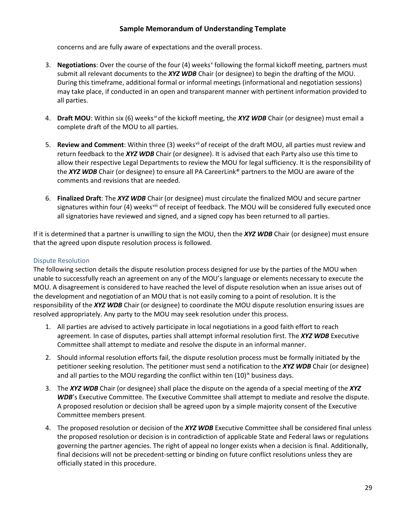concerns and are fully aware of expectations and the overall process.

- 3. **Negotiations**: O[v](#page-42-5)er the course of the four (4) weeks<sup>v</sup> following the formal kickoff meeting, partners must submit all relevant documents to the *XYZ WDB* Chair (or designee) to begin the drafting of the MOU. During this timeframe, additional formal or informal meetings (informational and negotiation sessions) may take place, if conducted in an open and transparent manner with pertinent information provided to all parties.
- 4. **Draft MOU**: Within six (6) weeks<sup>[vi](#page-42-6)</sup> of the kickoff meeting, the **XYZ WDB** Chair (or designee) must email a complete draft of the MOU to all parties.
- 5. **Review and Comment**: Within three (3) weeks[vii](#page-42-7) of receipt of the draft MOU, all parties must review and return feedback to the *XYZ WDB* Chair (or designee). It is advised that each Party also use this time to allow their respective Legal Departments to review the MOU for legal sufficiency. It is the responsibility of the *XYZ WDB* Chair (or designee) to ensure all PA CareerLink® partners to the MOU are aware of the comments and revisions that are needed.
- 6. **Finalized Draft**: The *XYZ WDB* Chair (or designee) must circulate the finalized MOU and secure partner signatures within four (4) weeks[viii](#page-42-8) of receipt of feedback. The MOU will be considered fully executed once all signatories have reviewed and signed, and a signed copy has been returned to all parties.

If it is determined that a partner is unwilling to sign the MOU, then the *XYZ WDB* Chair (or designee) must ensure that the agreed upon dispute resolution process is followed.

# <span id="page-29-0"></span>Dispute Resolution

The following section details the dispute resolution process designed for use by the parties of the MOU when unable to successfully reach an agreement on any of the MOU's language or elements necessary to execute the MOU. A disagreement is considered to have reached the level of dispute resolution when an issue arises out of the development and negotiation of an MOU that is not easily coming to a point of resolution. It is the responsibility of the *XYZ WDB* Chair (or designee) to coordinate the MOU dispute resolution ensuring issues are resolved appropriately. Any party to the MOU may seek resolution under this process.

- 1. All parties are advised to actively participate in local negotiations in a good faith effort to reach agreement. In case of disputes, parties shall attempt informal resolution first. The *XYZ WDB* Executive Committee shall attempt to mediate and resolve the dispute in an informal manner.
- 2. Should informal resolution efforts fail, the dispute resolution process must be formally initiated by the petitioner seeking resolution. The petitioner must send a notification to the *XYZ WDB* Chair (or designee) and all parties to the MOU regarding the conflict within ten  $(10)^{ix}$  $(10)^{ix}$  $(10)^{ix}$  business days.
- 3. The *XYZ WDB* Chair (or designee) shall place the dispute on the agenda of a special meeting of the *XYZ WDB*'s Executive Committee. The Executive Committee shall attempt to mediate and resolve the dispute. A proposed resolution or decision shall be agreed upon by a simple majority consent of the Executive Committee members present.
- 4. The proposed resolution or decision of the *XYZ WDB* Executive Committee shall be considered final unless the proposed resolution or decision is in contradiction of applicable State and Federal laws or regulations governing the partner agencies. The right of appeal no longer exists when a decision is final. Additionally, final decisions will not be precedent-setting or binding on future conflict resolutions unless they are officially stated in this procedure.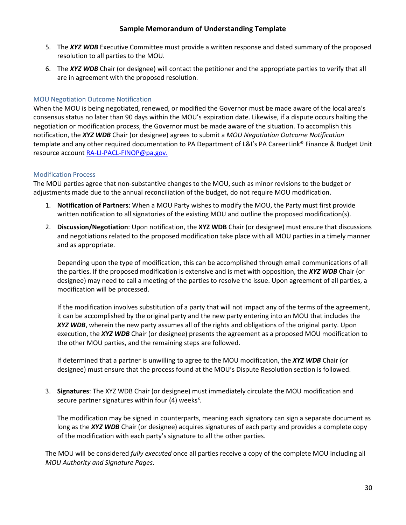- 5. The *XYZ WDB* Executive Committee must provide a written response and dated summary of the proposed resolution to all parties to the MOU.
- 6. The *XYZ WDB* Chair (or designee) will contact the petitioner and the appropriate parties to verify that all are in agreement with the proposed resolution.

#### <span id="page-30-0"></span>MOU Negotiation Outcome Notification

When the MOU is being negotiated, renewed, or modified the Governor must be made aware of the local area's consensus status no later than 90 days within the MOU's expiration date. Likewise, if a dispute occurs halting the negotiation or modification process, the Governor must be made aware of the situation. To accomplish this notification, the *XYZ WDB* Chair (or designee) agrees to submit a *MOU Negotiation Outcome Notification* template and any other required documentation to PA Department of L&I's PA CareerLink® Finance & Budget Unit resource account [RA-LI-PACL-FINOP@pa.gov.](mailto:RA-LI-PACL-FINOP@pa.gov)

#### <span id="page-30-1"></span>Modification Process

The MOU parties agree that non-substantive changes to the MOU, such as minor revisions to the budget or adjustments made due to the annual reconciliation of the budget, do not require MOU modification.

- 1. **Notification of Partners**: When a MOU Party wishes to modify the MOU, the Party must first provide written notification to all signatories of the existing MOU and outline the proposed modification(s).
- 2. **Discussion/Negotiation**: Upon notification, the **XYZ WDB** Chair (or designee) must ensure that discussions and negotiations related to the proposed modification take place with all MOU parties in a timely manner and as appropriate.

Depending upon the type of modification, this can be accomplished through email communications of all the parties. If the proposed modification is extensive and is met with opposition, the *XYZ WDB* Chair (or designee) may need to call a meeting of the parties to resolve the issue. Upon agreement of all parties, a modification will be processed.

If the modification involves substitution of a party that will not impact any of the terms of the agreement, it can be accomplished by the original party and the new party entering into an MOU that includes the *XYZ WDB*, wherein the new party assumes all of the rights and obligations of the original party. Upon execution, the *XYZ WDB* Chair (or designee) presents the agreement as a proposed MOU modification to the other MOU parties, and the remaining steps are followed.

If determined that a partner is unwilling to agree to the MOU modification, the *XYZ WDB* Chair (or designee) must ensure that the process found at the MOU's Dispute Resolution section is followed.

3. **Signatures**: The XYZ WDB Chair (or designee) must immediately circulate the MOU modification and secure partner signatures within four (4) weeks<sup>x</sup>.

The modification may be signed in counterparts, meaning each signatory can sign a separate document as long as the *XYZ WDB* Chair (or designee) acquires signatures of each party and provides a complete copy of the modification with each party's signature to all the other parties.

The MOU will be considered *fully executed* once all parties receive a copy of the complete MOU including all *MOU Authority and Signature Pages*.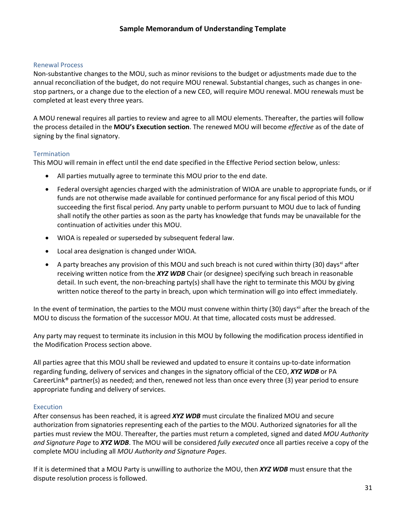#### <span id="page-31-0"></span>Renewal Process

Non-substantive changes to the MOU, such as minor revisions to the budget or adjustments made due to the annual reconciliation of the budget, do not require MOU renewal. Substantial changes, such as changes in onestop partners, or a change due to the election of a new CEO, will require MOU renewal. MOU renewals must be completed at least every three years.

A MOU renewal requires all parties to review and agree to all MOU elements. Thereafter, the parties will follow the process detailed in the **MOU's Execution section**. The renewed MOU will become *effective* as of the date of signing by the final signatory.

#### <span id="page-31-1"></span>**Termination**

This MOU will remain in effect until the end date specified in the Effective Period section below, unless:

- All parties mutually agree to terminate this MOU prior to the end date.
- Federal oversight agencies charged with the administration of WIOA are unable to appropriate funds, or if funds are not otherwise made available for continued performance for any fiscal period of this MOU succeeding the first fiscal period. Any party unable to perform pursuant to MOU due to lack of funding shall notify the other parties as soon as the party has knowledge that funds may be unavailable for the continuation of activities under this MOU.
- WIOA is repealed or superseded by subsequent federal law.
- Local area designation is changed under WIOA.
- A party breaches any provision of this MOU and such breach is not cured within thirty (30) days<sup>[xi](#page-42-11)</sup> after receiving written notice from the *XYZ WDB* Chair (or designee) specifying such breach in reasonable detail. In such event, the non-breaching party(s) shall have the right to terminate this MOU by giving written notice thereof to the party in breach, upon which termination will go into effect immediately.

In the event of termination, the parties to the MOU must convene within thirty (30) days<sup>[xii](#page-42-12)</sup> after the breach of the MOU to discuss the formation of the successor MOU. At that time, allocated costs must be addressed.

Any party may request to terminate its inclusion in this MOU by following the modification process identified in the Modification Process section above.

All parties agree that this MOU shall be reviewed and updated to ensure it contains up-to-date information regarding funding, delivery of services and changes in the signatory official of the CEO, *XYZ WDB* or PA CareerLink® partner(s) as needed; and then, renewed not less than once every three (3) year period to ensure appropriate funding and delivery of services.

#### <span id="page-31-2"></span>**Execution**

After consensus has been reached, it is agreed *XYZ WDB* must circulate the finalized MOU and secure authorization from signatories representing each of the parties to the MOU. Authorized signatories for all the parties must review the MOU. Thereafter, the parties must return a completed, signed and dated *MOU Authority and Signature Page* to *XYZ WDB*. The MOU will be considered *fully executed* once all parties receive a copy of the complete MOU including all *MOU Authority and Signature Pages*.

If it is determined that a MOU Party is unwilling to authorize the MOU, then *XYZ WDB* must ensure that the dispute resolution process is followed.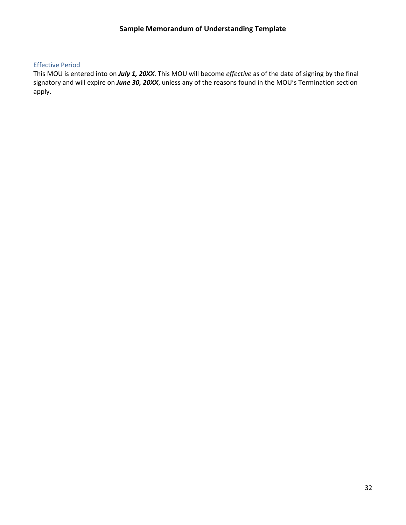#### <span id="page-32-0"></span>Effective Period

This MOU is entered into on *July 1, 20XX*. This MOU will become *effective* as of the date of signing by the final signatory and will expire on *June 30, 20XX*, unless any of the reasons found in the MOU's Termination section apply.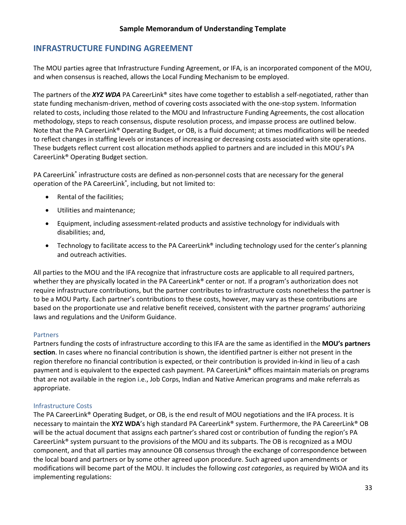# <span id="page-33-0"></span>**INFRASTRUCTURE FUNDING AGREEMENT**

The MOU parties agree that Infrastructure Funding Agreement, or IFA, is an incorporated component of the MOU, and when consensus is reached, allows the Local Funding Mechanism to be employed.

The partners of the *XYZ WDA* PA CareerLink® sites have come together to establish a self-negotiated, rather than state funding mechanism-driven, method of covering costs associated with the one-stop system. Information related to costs, including those related to the MOU and Infrastructure Funding Agreements, the cost allocation methodology, steps to reach consensus, dispute resolution process, and impasse process are outlined below. Note that the PA CareerLink® Operating Budget, or OB, is a fluid document; at times modifications will be needed to reflect changes in staffing levels or instances of increasing or decreasing costs associated with site operations. These budgets reflect current cost allocation methods applied to partners and are included in this MOU's PA CareerLink® Operating Budget section.

PA CareerLink® infrastructure costs are defined as non-personnel costs that are necessary for the general operation of the PA CareerLink® , including, but not limited to:

- Rental of the facilities;
- Utilities and maintenance;
- Equipment, including assessment-related products and assistive technology for individuals with disabilities; and,
- Technology to facilitate access to the PA CareerLink® including technology used for the center's planning and outreach activities.

All parties to the MOU and the IFA recognize that infrastructure costs are applicable to all required partners, whether they are physically located in the PA CareerLink<sup>®</sup> center or not. If a program's authorization does not require infrastructure contributions, but the partner contributes to infrastructure costs nonetheless the partner is to be a MOU Party. Each partner's contributions to these costs, however, may vary as these contributions are based on the proportionate use and relative benefit received, consistent with the partner programs' authorizing laws and regulations and the Uniform Guidance.

#### <span id="page-33-1"></span>Partners

Partners funding the costs of infrastructure according to this IFA are the same as identified in the **MOU's partners section**. In cases where no financial contribution is shown, the identified partner is either not present in the region therefore no financial contribution is expected, or their contribution is provided in-kind in lieu of a cash payment and is equivalent to the expected cash payment. PA CareerLink® offices maintain materials on programs that are not available in the region i.e., Job Corps, Indian and Native American programs and make referrals as appropriate.

# <span id="page-33-2"></span>Infrastructure Costs

The PA CareerLink® Operating Budget, or OB, is the end result of MOU negotiations and the IFA process. It is necessary to maintain the **XYZ WDA**'s high standard PA CareerLink® system. Furthermore, the PA CareerLink® OB will be the actual document that assigns each partner's shared cost or contribution of funding the region's PA CareerLink® system pursuant to the provisions of the MOU and its subparts. The OB is recognized as a MOU component, and that all parties may announce OB consensus through the exchange of correspondence between the local board and partners or by some other agreed upon procedure. Such agreed upon amendments or modifications will become part of the MOU. It includes the following *cost categories*, as required by WIOA and its implementing regulations: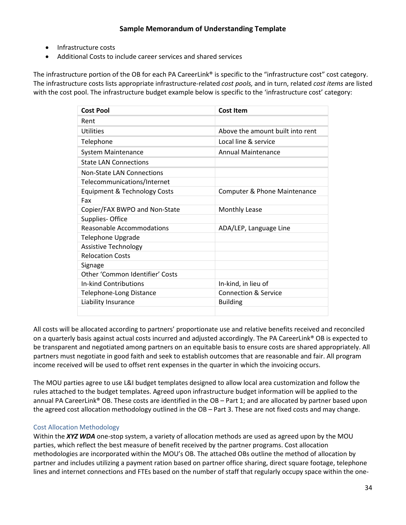- Infrastructure costs
- Additional Costs to include career services and shared services

The infrastructure portion of the OB for each PA CareerLink<sup>®</sup> is specific to the "infrastructure cost" cost category. The infrastructure costs lists appropriate infrastructure-related *cost pools,* and in turn, related *cost items* are listed with the cost pool. The infrastructure budget example below is specific to the 'infrastructure cost' category:

| <b>Cost Pool</b>                        | Cost Item                        |
|-----------------------------------------|----------------------------------|
| Rent                                    |                                  |
| Utilities                               | Above the amount built into rent |
| Telephone                               | Local line & service             |
| <b>System Maintenance</b>               | <b>Annual Maintenance</b>        |
| <b>State LAN Connections</b>            |                                  |
| <b>Non-State LAN Connections</b>        |                                  |
| Telecommunications/Internet             |                                  |
| <b>Equipment &amp; Technology Costs</b> | Computer & Phone Maintenance     |
| Fax                                     |                                  |
| Copier/FAX BWPO and Non-State           | <b>Monthly Lease</b>             |
| Supplies-Office                         |                                  |
| Reasonable Accommodations               | ADA/LEP, Language Line           |
| <b>Telephone Upgrade</b>                |                                  |
| <b>Assistive Technology</b>             |                                  |
| <b>Relocation Costs</b>                 |                                  |
| Signage                                 |                                  |
| Other 'Common Identifier' Costs         |                                  |
| In-kind Contributions                   | In-kind, in lieu of              |
| Telephone-Long Distance                 | <b>Connection &amp; Service</b>  |
| Liability Insurance                     | <b>Building</b>                  |
|                                         |                                  |

All costs will be allocated according to partners' proportionate use and relative benefits received and reconciled on a quarterly basis against actual costs incurred and adjusted accordingly. The PA CareerLink® OB is expected to be transparent and negotiated among partners on an equitable basis to ensure costs are shared appropriately. All partners must negotiate in good faith and seek to establish outcomes that are reasonable and fair. All program income received will be used to offset rent expenses in the quarter in which the invoicing occurs.

The MOU parties agree to use L&I budget templates designed to allow local area customization and follow the rules attached to the budget templates. Agreed upon infrastructure budget information will be applied to the annual PA CareerLink® OB. These costs are identified in the OB – Part 1; and are allocated by partner based upon the agreed cost allocation methodology outlined in the OB – Part 3. These are not fixed costs and may change.

# <span id="page-34-0"></span>Cost Allocation Methodology

Within the *XYZ WDA* one-stop system, a variety of allocation methods are used as agreed upon by the MOU parties, which reflect the best measure of benefit received by the partner programs. Cost allocation methodologies are incorporated within the MOU's OB. The attached OBs outline the method of allocation by partner and includes utilizing a payment ration based on partner office sharing, direct square footage, telephone lines and internet connections and FTEs based on the number of staff that regularly occupy space within the one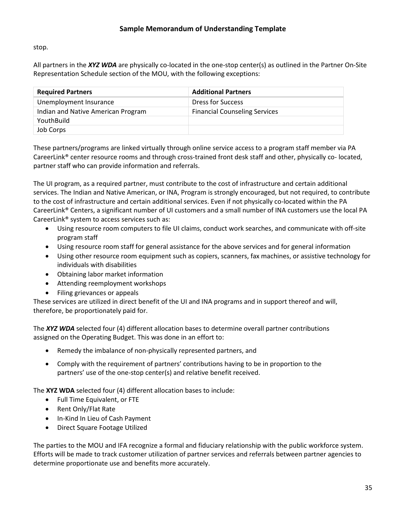stop.

All partners in the *XYZ WDA* are physically co-located in the one-stop center(s) as outlined in the Partner On-Site Representation Schedule section of the MOU, with the following exceptions:

| <b>Required Partners</b>           | <b>Additional Partners</b>           |
|------------------------------------|--------------------------------------|
| Unemployment Insurance             | <b>Dress for Success</b>             |
| Indian and Native American Program | <b>Financial Counseling Services</b> |
| YouthBuild                         |                                      |
| Job Corps                          |                                      |

These partners/programs are linked virtually through online service access to a program staff member via PA CareerLink® center resource rooms and through cross-trained front desk staff and other, physically co- located, partner staff who can provide information and referrals.

The UI program, as a required partner, must contribute to the cost of infrastructure and certain additional services. The Indian and Native American, or INA, Program is strongly encouraged, but not required, to contribute to the cost of infrastructure and certain additional services. Even if not physically co-located within the PA CareerLink® Centers, a significant number of UI customers and a small number of INA customers use the local PA CareerLink® system to access services such as:

- Using resource room computers to file UI claims, conduct work searches, and communicate with off-site program staff
- Using resource room staff for general assistance for the above services and for general information
- Using other resource room equipment such as copiers, scanners, fax machines, or assistive technology for individuals with disabilities
- Obtaining labor market information
- Attending reemployment workshops
- Filing grievances or appeals

These services are utilized in direct benefit of the UI and INA programs and in support thereof and will, therefore, be proportionately paid for.

The *XYZ WDA* selected four (4) different allocation bases to determine overall partner contributions assigned on the Operating Budget. This was done in an effort to:

- Remedy the imbalance of non-physically represented partners, and
- Comply with the requirement of partners' contributions having to be in proportion to the partners' use of the one-stop center(s) and relative benefit received.

The **XYZ WDA** selected four (4) different allocation bases to include:

- Full Time Equivalent, or FTE
- Rent Only/Flat Rate
- In-Kind In Lieu of Cash Payment
- Direct Square Footage Utilized

The parties to the MOU and IFA recognize a formal and fiduciary relationship with the public workforce system. Efforts will be made to track customer utilization of partner services and referrals between partner agencies to determine proportionate use and benefits more accurately.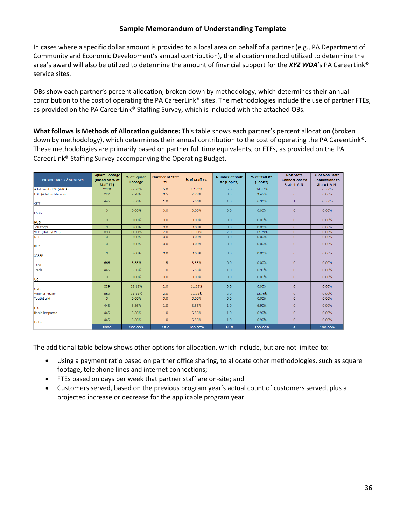In cases where a specific dollar amount is provided to a local area on behalf of a partner (e.g., PA Department of Community and Economic Development's annual contribution), the allocation method utilized to determine the area's award will also be utilized to determine the amount of financial support for the *XYZ WDA*'s PA CareerLink® service sites.

OBs show each partner's percent allocation, broken down by methodology, which determines their annual contribution to the cost of operating the PA CareerLink® sites. The methodologies include the use of partner FTEs, as provided on the PA CareerLink® Staffing Survey, which is included with the attached OBs.

**What follows is Methods of Allocation guidance:** This table shows each partner's percent allocation (broken down by methodology), which determines their annual contribution to the cost of operating the PA CareerLink®. These methodologies are primarily based on partner full time equivalents, or FTEs, as provided on the PA CareerLink® Staffing Survey accompanying the Operating Budget.

| Partner Name / Acronym | <b>Square Footage</b><br>(based on % of<br>Staff $#1$ ) | % of Square<br>Footage | <b>Number of Staff</b><br>#1 | % of Staff #1 | <b>Number of Staff</b><br>#2 (Copier) | % of Staff #2<br>(Copier) | <b>Non State</b><br><b>Connections to</b><br>State L.A.N. | % of Non State<br><b>Connections to</b><br>State L.A.N. |  |
|------------------------|---------------------------------------------------------|------------------------|------------------------------|---------------|---------------------------------------|---------------------------|-----------------------------------------------------------|---------------------------------------------------------|--|
| Adult Youth DW (WIOA)  | 2220                                                    | 27.76%                 | 5.0                          | 27.76%        | 5.0                                   | 34.47%                    | 3                                                         | 75.00%                                                  |  |
| EDU (Adult & Literacy) | 222                                                     | 2.78%                  | 0.5                          | 2.78%         | 0.5                                   | 3.45%                     | $\circ$                                                   | 0.00%                                                   |  |
| C&T                    | 445                                                     | 5.56%                  | 1.0                          | 5.56%         | 1.0                                   | 6.90%                     | $\mathbf{1}$                                              | 25.00%                                                  |  |
| <b>CSBG</b>            | $\Omega$                                                | 0.00%                  | 0.0                          | 0.00%         | 0.0                                   | 0.00%                     | $\Omega$                                                  | 0.00%                                                   |  |
| <b>HUD</b>             | $\Omega$                                                | 0.00%                  | 0.0                          | 0.00%         | 0.0                                   | 0.00%                     | $\Omega$                                                  | 0.00%                                                   |  |
| <b>Job Corps</b>       | $\overline{O}$                                          | 0.00%                  | 0.0                          | 0.00%         | 0.0                                   | 0.00%                     | $\circ$                                                   | 0.00%                                                   |  |
| VETS (DVOP/LVER)       | 889                                                     | 11.11%                 | 2.0                          | 11.11%        | 2.0                                   | 13.79%                    | $\circ$                                                   | 0.00%                                                   |  |
| <b>NFJP</b>            | $\circ$                                                 | 0.00%                  | 0.0                          | 0.00%         | 0.0                                   | 0.00%                     | $\circ$                                                   | 0.00%                                                   |  |
| <b>REO</b>             | $\circ$                                                 | 0.00%                  | 0.0                          | 0.00%         | 0.0                                   | 0.00%                     | $\circ$                                                   | 0.00%                                                   |  |
| <b>SCSEP</b>           | 0.00%<br>0.0<br>$\circ$                                 |                        | 0.00%                        | 0.0           | 0.00%                                 | $\circ$                   | 0.00%                                                     |                                                         |  |
| <b>TANF</b>            | 666                                                     | 8.33%                  | 1.5                          | 8.33%         | 0.0                                   | 0.00%                     | $\circ$                                                   | 0.00%                                                   |  |
| Trade                  | 445                                                     | 5.56%                  | 1.0                          | 5.56%         | 1.0                                   | 6.90%                     | $\circ$                                                   | 0.00%                                                   |  |
| UC                     | $\circ$                                                 | 0.00%                  | 0.0                          | 0.00%         | 0.0                                   | 0.00%                     | $\circ$                                                   | 0.00%                                                   |  |
| <b>OVR</b>             | 889                                                     | 11.11%                 | 2.0                          | 11.11%        | 0.0                                   | 0.00%                     | $\Omega$                                                  | 0.00%                                                   |  |
| <b>Wagner Peyser</b>   | 889                                                     | 11.11%                 | 2.0                          | 11.11%        | 2.0                                   | 13.79%                    | $\circ$                                                   | 0.00%                                                   |  |
| YouthBuild             | $\circ$                                                 | 0.00%                  | 0.0                          | 0.00%         | 0.0                                   | 0.00%                     | $\circ$                                                   | 0.00%                                                   |  |
| <b>FLC</b>             | 445                                                     | 5.56%                  | 1.0                          | 5.56%         | 1.0                                   | 6.90%                     | $\circ$                                                   | 0.00%                                                   |  |
| Rapid Response         | 445                                                     | 5.56%                  | 1.0                          | 5.56%         | 1.0                                   | 6.90%                     | $\circ$                                                   | 0.00%                                                   |  |
| <b>UCBR</b>            | 445                                                     | 5.56%                  | 1.0                          | 5.56%         | 1.0                                   | 6.90%                     | $\circ$                                                   | 0.00%                                                   |  |
|                        | 8000                                                    | 100.00%                | 18.0                         | 100.00%       | 14.5                                  | 100.00%                   | 4 <sup>1</sup>                                            | 100.00%                                                 |  |

The additional table below shows other options for allocation, which include, but are not limited to:

- Using a payment ratio based on partner office sharing, to allocate other methodologies, such as square footage, telephone lines and internet connections;
- FTEs based on days per week that partner staff are on-site; and
- Customers served, based on the previous program year's actual count of customers served, plus a projected increase or decrease for the applicable program year.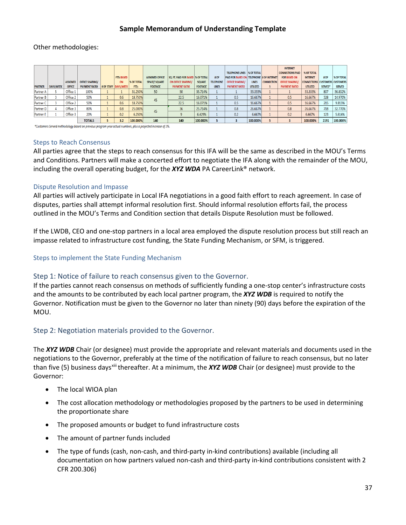#### Other methodologies:

|                  |                  |                 |                        |                        |                   |                        |                                           |                |                  |                                                  |                 |                   | <b>INTERNET</b>         |                                        |         |                   |
|------------------|------------------|-----------------|------------------------|------------------------|-------------------|------------------------|-------------------------------------------|----------------|------------------|--------------------------------------------------|-----------------|-------------------|-------------------------|----------------------------------------|---------|-------------------|
|                  |                  |                 |                        |                        |                   |                        |                                           |                |                  | <b>TELEPHONE LINES  % OF TOTAL</b>               |                 |                   | <b>CONNECTIONS PAID</b> | % OF TOTAL                             |         |                   |
|                  |                  |                 |                        | <b>FTES BASED</b>      |                   | <b>ASSIGNED OFFICE</b> | <b>SQ. FT. PAID FOR BASED  % OF TOTAL</b> |                | # OF             | <b>PAID FOR BASED ON TELEPHONE # OF INTERNET</b> |                 |                   | <b>FOR BASED ON</b>     | <b>INTERNET</b>                        | #OF     | <b>% OF TOTAL</b> |
|                  |                  | <b>ASSIGNED</b> | <b>OFFICE SHARING/</b> | <b>ON</b>              | <b>% OF TOTAL</b> | <b>SPACE/ SQUARE</b>   | ON OFFICE SHARING/                        | <b>SQUARE</b>  | <b>TELEPHONE</b> | <b>OFFICE SHARING/</b>                           | <b>LINES</b>    | <b>CONNECTION</b> | <b>OFFICE SHARING/</b>  | <b>CONNECTIONS CUSTOMERS CUSTOMERS</b> |         |                   |
| <b>PARTNER</b>   | <b>DAYS/WEEK</b> | <b>OFFICE</b>   | <b>PAYMENT RATIO</b>   | # OF STAFF   DAYS/WEEK | <b>FTEs</b>       | <b>FOOTAGE</b>         | <b>PAYMENT RATIO</b>                      | <b>FOOTAGE</b> | <b>LINES</b>     | <b>PAYMENT RATIO</b>                             | <b>UTILIZED</b> | s.                | <b>PAYMENT RATIO</b>    | <b>UTILIZED</b>                        | SERVED* | <b>SERVED</b>     |
| Partner A        |                  | Office 1        | 100%                   |                        | 31.250%           | 50                     | 50                                        | 35.714%        |                  |                                                  | 33.333%         |                   |                         | 33.333%                                | 807     | 36.832%           |
| Partner B        |                  | Office 2        | 50%                    | 0.6                    | 18.750%           | 45                     | 22.5                                      | 16.071%        |                  | 0.5                                              | 16.667%         |                   | 0.5                     | 16.667%                                | 328     | 14.970%           |
| <b>Partner C</b> |                  | Office 2        | 50%                    | 0.6                    | 18.750%           |                        | 22.5                                      | 16.071%        |                  | 0.5                                              | 16.667%         |                   | 0.5                     | 16.667%                                | 215     | 9.813%            |
| Partner D        |                  | Office 3        | 80%                    | 0.8                    | 25.000%           | 45                     | 36                                        | 25.714%        |                  | 0.8                                              | 26.667%         |                   | 0.8                     | 26.667%                                | 718     | 32.770%           |
| Partner E        |                  | Office 3        | 20%                    | 0.2                    | 6.250%            |                        |                                           | 6.429%         |                  | 0.2                                              | 6.667%          |                   | 0.2                     | 6.667%                                 | 123     | 5.614%            |
|                  |                  |                 | <b>TOTALS</b>          | 3.2                    | 100.000%          | 140                    | 140                                       | 100.000%       |                  |                                                  | 100.000%        |                   |                         | 100.000%                               | 2191    | 100,000%          |

\*Customers Served methodology based on previous program year actual numbers, plus a projected increase of 2%.

#### <span id="page-37-0"></span>Steps to Reach Consensus

All parties agree that the steps to reach consensus for this IFA will be the same as described in the MOU's Terms and Conditions. Partners will make a concerted effort to negotiate the IFA along with the remainder of the MOU, including the overall operating budget, for the *XYZ WDA* PA CareerLink® network.

#### <span id="page-37-1"></span>Dispute Resolution and Impasse

All parties will actively participate in Local IFA negotiations in a good faith effort to reach agreement. In case of disputes, parties shall attempt informal resolution first. Should informal resolution efforts fail, the process outlined in the MOU's Terms and Condition section that details Dispute Resolution must be followed.

If the LWDB, CEO and one-stop partners in a local area employed the dispute resolution process but still reach an impasse related to infrastructure cost funding, the State Funding Mechanism, or SFM, is triggered.

#### <span id="page-37-2"></span>Steps to implement the State Funding Mechanism

#### <span id="page-37-3"></span>Step 1: Notice of failure to reach consensus given to the Governor.

If the parties cannot reach consensus on methods of sufficiently funding a one-stop center's infrastructure costs and the amounts to be contributed by each local partner program, the *XYZ WDB* is required to notify the Governor. Notification must be given to the Governor no later than ninety (90) days before the expiration of the MOU.

#### <span id="page-37-4"></span>Step 2: Negotiation materials provided to the Governor.

The *XYZ WDB* Chair (or designee) must provide the appropriate and relevant materials and documents used in the negotiations to the Governor, preferably at the time of the notification of failure to reach consensus, but no later than five (5) business days<sup>xiii</sup> thereafter. At a minimum, the **XYZ WDB** Chair (or designee) must provide to the Governor:

- The local WIOA plan
- The cost allocation methodology or methodologies proposed by the partners to be used in determining the proportionate share
- The proposed amounts or budget to fund infrastructure costs
- The amount of partner funds included
- The type of funds (cash, non-cash, and third-party in-kind contributions) available (including all documentation on how partners valued non-cash and third-party in-kind contributions consistent with 2 CFR 200.306)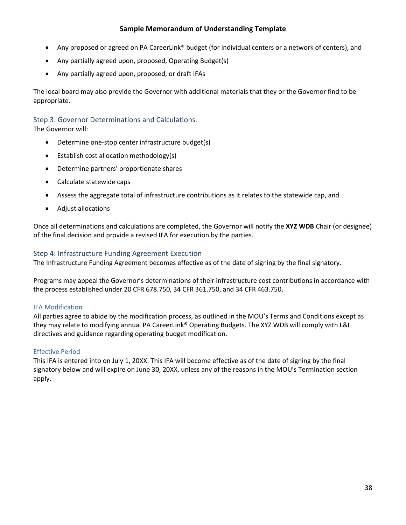- Any proposed or agreed on PA CareerLink® budget (for individual centers or a network of centers), and
- Any partially agreed upon, proposed, Operating Budget(s)
- Any partially agreed upon, proposed, or draft IFAs

The local board may also provide the Governor with additional materials that they or the Governor find to be appropriate.

# <span id="page-38-0"></span>Step 3: Governor Determinations and Calculations.

The Governor will:

- Determine one-stop center infrastructure budget(s)
- Establish cost allocation methodology(s)
- Determine partners' proportionate shares
- Calculate statewide caps
- Assess the aggregate total of infrastructure contributions as it relates to the statewide cap, and
- Adjust allocations

Once all determinations and calculations are completed, the Governor will notify the **XYZ WDB** Chair (or designee) of the final decision and provide a revised IFA for execution by the parties.

# <span id="page-38-1"></span>Step 4: Infrastructure Funding Agreement Execution

The Infrastructure Funding Agreement becomes effective as of the date of signing by the final signatory.

Programs may appeal the Governor's determinations of their infrastructure cost contributions in accordance with the process established under 20 CFR 678.750, 34 CFR 361.750, and 34 CFR 463.750.

# <span id="page-38-2"></span>IFA Modification

All parties agree to abide by the modification process, as outlined in the MOU's Terms and Conditions except as they may relate to modifying annual PA CareerLink® Operating Budgets. The XYZ WDB will comply with L&I directives and guidance regarding operating budget modification.

# <span id="page-38-3"></span>Effective Period

This IFA is entered into on July 1, 20XX. This IFA will become effective as of the date of signing by the final signatory below and will expire on June 30, 20XX, unless any of the reasons in the MOU's Termination section apply.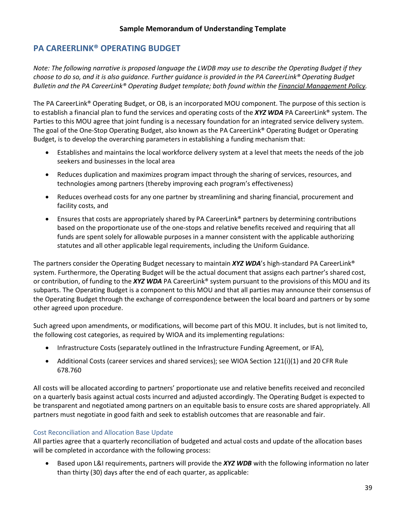# <span id="page-39-0"></span>**PA CAREERLINK® OPERATING BUDGET**

*Note: The following narrative is proposed language the LWDB may use to describe the Operating Budget if they choose to do so, and it is also guidance. Further guidance is provided in the PA CareerLink® Operating Budget Bulletin and the PA CareerLink® Operating Budget template; both found within the [Financial Management Policy.](https://www.dli.pa.gov/Businesses/Workforce-Development/Pages/Pennsylvania)*

The PA CareerLink® Operating Budget, or OB, is an incorporated MOU component. The purpose of this section is to establish a financial plan to fund the services and operating costs of the *XYZ WDA* PA CareerLink® system. The Parties to this MOU agree that joint funding is a necessary foundation for an integrated service delivery system. The goal of the One-Stop Operating Budget, also known as the PA CareerLink® Operating Budget or Operating Budget, is to develop the overarching parameters in establishing a funding mechanism that:

- Establishes and maintains the local workforce delivery system at a level that meets the needs of the job seekers and businesses in the local area
- Reduces duplication and maximizes program impact through the sharing of services, resources, and technologies among partners (thereby improving each program's effectiveness)
- Reduces overhead costs for any one partner by streamlining and sharing financial, procurement and facility costs, and
- Ensures that costs are appropriately shared by PA CareerLink® partners by determining contributions based on the proportionate use of the one-stops and relative benefits received and requiring that all funds are spent solely for allowable purposes in a manner consistent with the applicable authorizing statutes and all other applicable legal requirements, including the Uniform Guidance.

The partners consider the Operating Budget necessary to maintain *XYZ WDA*'s high-standard PA CareerLink® system. Furthermore, the Operating Budget will be the actual document that assigns each partner's shared cost, or contribution, of funding to the *XYZ WDA* PA CareerLink® system pursuant to the provisions of this MOU and its subparts. The Operating Budget is a component to this MOU and that all parties may announce their consensus of the Operating Budget through the exchange of correspondence between the local board and partners or by some other agreed upon procedure.

Such agreed upon amendments, or modifications, will become part of this MOU. It includes, but is not limited to, the following cost categories, as required by WIOA and its implementing regulations:

- Infrastructure Costs (separately outlined in the Infrastructure Funding Agreement, or IFA),
- Additional Costs (career services and shared services); see WIOA Section 121(i)(1) and 20 CFR Rule 678.760

All costs will be allocated according to partners' proportionate use and relative benefits received and reconciled on a quarterly basis against actual costs incurred and adjusted accordingly. The Operating Budget is expected to be transparent and negotiated among partners on an equitable basis to ensure costs are shared appropriately. All partners must negotiate in good faith and seek to establish outcomes that are reasonable and fair.

# <span id="page-39-1"></span>Cost Reconciliation and Allocation Base Update

All parties agree that a quarterly reconciliation of budgeted and actual costs and update of the allocation bases will be completed in accordance with the following process:

• Based upon L&I requirements, partners will provide the *XYZ WDB* with the following information no later than thirty (30) days after the end of each quarter, as applicable: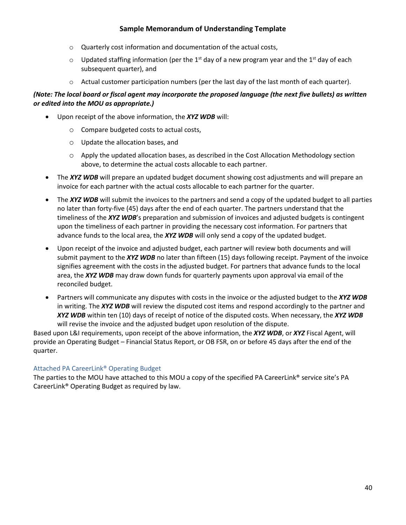- o Quarterly cost information and documentation of the actual costs,
- $\circ$  Updated staffing information (per the 1<sup>st</sup> day of a new program year and the 1<sup>st</sup> day of each subsequent quarter), and
- $\circ$  Actual customer participation numbers (per the last day of the last month of each quarter).

# *(Note: The local board or fiscal agent may incorporate the proposed language (the next five bullets) as written or edited into the MOU as appropriate.)*

- Upon receipt of the above information, the *XYZ WDB* will:
	- o Compare budgeted costs to actual costs,
	- o Update the allocation bases, and
	- $\circ$  Apply the updated allocation bases, as described in the Cost Allocation Methodology section above, to determine the actual costs allocable to each partner.
- The *XYZ WDB* will prepare an updated budget document showing cost adjustments and will prepare an invoice for each partner with the actual costs allocable to each partner for the quarter.
- The *XYZ WDB* will submit the invoices to the partners and send a copy of the updated budget to all parties no later than forty-five (45) days after the end of each quarter. The partners understand that the timeliness of the *XYZ WDB*'s preparation and submission of invoices and adjusted budgets is contingent upon the timeliness of each partner in providing the necessary cost information. For partners that advance funds to the local area, the *XYZ WDB* will only send a copy of the updated budget.
- Upon receipt of the invoice and adjusted budget, each partner will review both documents and will submit payment to the *XYZ WDB* no later than fifteen (15) days following receipt. Payment of the invoice signifies agreement with the costs in the adjusted budget. For partners that advance funds to the local area, the *XYZ WDB* may draw down funds for quarterly payments upon approval via email of the reconciled budget.
- Partners will communicate any disputes with costs in the invoice or the adjusted budget to the *XYZ WDB* in writing. The *XYZ WDB* will review the disputed cost items and respond accordingly to the partner and *XYZ WDB* within ten (10) days of receipt of notice of the disputed costs. When necessary, the *XYZ WDB* will revise the invoice and the adjusted budget upon resolution of the dispute.

Based upon L&I requirements, upon receipt of the above information, the *XYZ WDB*, or *XYZ* Fiscal Agent, will provide an Operating Budget – Financial Status Report, or OB FSR, on or before 45 days after the end of the quarter.

# <span id="page-40-0"></span>Attached PA CareerLink® Operating Budget

The parties to the MOU have attached to this MOU a copy of the specified PA CareerLink® service site's PA CareerLink® Operating Budget as required by law.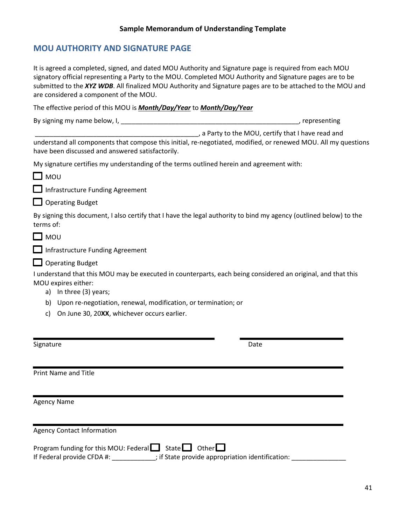# <span id="page-41-0"></span>**MOU AUTHORITY AND SIGNATURE PAGE**

| It is agreed a completed, signed, and dated MOU Authority and Signature page is required from each MOU<br>signatory official representing a Party to the MOU. Completed MOU Authority and Signature pages are to be<br>submitted to the XYZ WDB. All finalized MOU Authority and Signature pages are to be attached to the MOU and<br>are considered a component of the MOU. |
|------------------------------------------------------------------------------------------------------------------------------------------------------------------------------------------------------------------------------------------------------------------------------------------------------------------------------------------------------------------------------|
| The effective period of this MOU is <i>Month/Day/Year</i> to <i>Month/Day/Year</i>                                                                                                                                                                                                                                                                                           |
|                                                                                                                                                                                                                                                                                                                                                                              |
| a Party to the MOU, certify that I have read and                                                                                                                                                                                                                                                                                                                             |
| understand all components that compose this initial, re-negotiated, modified, or renewed MOU. All my questions<br>have been discussed and answered satisfactorily.                                                                                                                                                                                                           |
| My signature certifies my understanding of the terms outlined herein and agreement with:                                                                                                                                                                                                                                                                                     |
| $\square$ MOU                                                                                                                                                                                                                                                                                                                                                                |
| Infrastructure Funding Agreement                                                                                                                                                                                                                                                                                                                                             |
| $\Box$ Operating Budget                                                                                                                                                                                                                                                                                                                                                      |
| By signing this document, I also certify that I have the legal authority to bind my agency (outlined below) to the<br>terms of:                                                                                                                                                                                                                                              |
| $\square$ MOU                                                                                                                                                                                                                                                                                                                                                                |
| Infrastructure Funding Agreement                                                                                                                                                                                                                                                                                                                                             |
| $\Box$ Operating Budget                                                                                                                                                                                                                                                                                                                                                      |
| I understand that this MOU may be executed in counterparts, each being considered an original, and that this<br>MOU expires either:<br>a) In three (3) years;                                                                                                                                                                                                                |
| Upon re-negotiation, renewal, modification, or termination; or<br>b)                                                                                                                                                                                                                                                                                                         |
| On June 30, 20XX, whichever occurs earlier.<br>C)                                                                                                                                                                                                                                                                                                                            |
| Signature<br>Date                                                                                                                                                                                                                                                                                                                                                            |
| <b>Print Name and Title</b>                                                                                                                                                                                                                                                                                                                                                  |
|                                                                                                                                                                                                                                                                                                                                                                              |
| <b>Agency Name</b>                                                                                                                                                                                                                                                                                                                                                           |
| <b>Agency Contact Information</b>                                                                                                                                                                                                                                                                                                                                            |
| Program funding for this MOU: Federal State Cother<br>If Federal provide CFDA #: _____________; if State provide appropriation identification: __________                                                                                                                                                                                                                    |